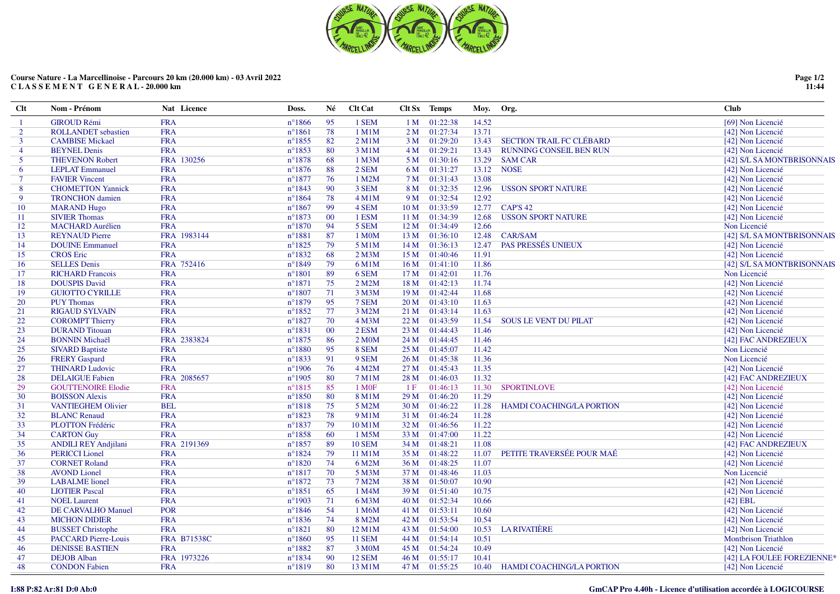

| $Cl$ t         | Nom - Prénom                | Nat Licence        | Doss.            | Né              | <b>Clt Cat</b>     |                 | Clt Sx Temps  | Moy. Org. |                                  | Club                                   |
|----------------|-----------------------------|--------------------|------------------|-----------------|--------------------|-----------------|---------------|-----------|----------------------------------|----------------------------------------|
| -1             | <b>GIROUD Rémi</b>          | <b>FRA</b>         | $n^{\circ}1866$  | 95              | 1 SEM              | 1 M             | 01:22:38      | 14.52     |                                  | [69] Non Licencié                      |
| $\overline{2}$ | <b>ROLLANDET</b> sebastien  | <b>FRA</b>         | $n^{\circ}1861$  | 78              | 1 M1M              | 2M              | 01:27:34      | 13.71     |                                  | [42] Non Licencié                      |
| $\mathbf{3}$   | <b>CAMBISE Mickael</b>      | <b>FRA</b>         | $n^{\circ}1855$  | 82              | 2 M1M              | 3 M             | 01:29:20      | 13.43     | <b>SECTION TRAIL FC CLÉBARD</b>  | [42] Non Licencié                      |
| $\overline{4}$ | <b>BEYNEL Denis</b>         | <b>FRA</b>         | $n^{\circ}1853$  | 80              | 3 M1M              | 4 M             | 01:29:21      | 13.43     | <b>RUNNING CONSEIL BEN RUN</b>   | [42] Non Licencié                      |
| 5 <sup>5</sup> | <b>THEVENON Robert</b>      | FRA 130256         | $n^{\circ}1878$  | 68              | 1 M3M              | 5 M             | 01:30:16      | 13.29     | <b>SAM CAR</b>                   | [42] S/L SA MONTBRISONNAIS             |
| 6              | <b>LEPLAT Emmanuel</b>      | <b>FRA</b>         | $n^{\circ}1876$  | 88              | 2 SEM              | 6 M             | 01:31:27      |           | 13.12 NOSE                       | [42] Non Licencié                      |
| $\tau$         | <b>FAVIER Vincent</b>       | <b>FRA</b>         | $n^{\circ}1877$  | 76              | 1 M2M              | 7 M             | 01:31:43      | 13.08     |                                  | [42] Non Licencié                      |
| 8              | <b>CHOMETTON Yannick</b>    | <b>FRA</b>         | $n^{\circ}1843$  | 90              | 3 SEM              | 8 M             | 01:32:35      | 12.96     | <b>USSON SPORT NATURE</b>        | [42] Non Licencié                      |
| 9              | <b>TRONCHON</b> damien      | <b>FRA</b>         | $n^{\circ}1864$  | 78              | 4 M1M              | 9 M             | 01:32:54      | 12.92     |                                  | [42] Non Licencié                      |
| 10             | <b>MARAND Hugo</b>          | <b>FRA</b>         | $n^{\circ}1867$  | 99              | 4 SEM              | 10 <sub>M</sub> | 01:33:59      | 12.77     | <b>CAP'S 42</b>                  | [42] Non Licencié                      |
| -11            | <b>SIVIER Thomas</b>        | <b>FRA</b>         | $n^{\circ}1873$  | 00 <sup>°</sup> | 1 ESM              | 11 <sub>M</sub> | 01:34:39      | 12.68     | <b>USSON SPORT NATURE</b>        | [42] Non Licencié                      |
| 12             | <b>MACHARD Aurélien</b>     | <b>FRA</b>         | $n^{\circ}1870$  | 94              | 5 SEM              | 12 M            | 01:34:49      | 12.66     |                                  | Non Licencié                           |
| 13             | <b>REYNAUD Pierre</b>       | FRA 1983144        | $n^{\circ}1881$  | 87              | 1 M0M              | 13 M            | 01:36:10      | 12.48     | <b>CAR/SAM</b>                   | [42] S/L SA MONTBRISONNAIS             |
| 14             | <b>DOUINE Emmanuel</b>      | <b>FRA</b>         | $n^{\circ}1825$  | 79              | 5 M1M              | 14 M            | 01:36:13      | 12.47     | PAS PRESSÉS UNIEUX               | [42] Non Licencié                      |
| 15             | <b>CROS</b> Eric            | <b>FRA</b>         | $n^{\circ}1832$  | 68              | $2$ M $3$ M        | 15 M            | 01:40:46      | 11.91     |                                  | [42] Non Licencié                      |
| 16             | <b>SELLES Denis</b>         | FRA 752416         | $n^{\circ}1849$  | 79              | 6 M1M              | 16 M            | 01:41:10      | 11.86     |                                  | [42] S/L SA MONTBRISONNAIS             |
| 17             | <b>RICHARD Francois</b>     | <b>FRA</b>         | $n^{\circ}1801$  | 89              | 6 SEM              | 17 <sub>M</sub> | 01:42:01      | 11.76     |                                  | Non Licencié                           |
| 18             | <b>DOUSPIS David</b>        | <b>FRA</b>         | $n^{\circ}1871$  | 75              | 2 M2M              | 18 M            | 01:42:13      | 11.74     |                                  | [42] Non Licencié                      |
| 19             | <b>GUIOTTO CYRILLE</b>      | <b>FRA</b>         | $n^{\circ}1807$  | 71              | 3 M3M              | 19 <sub>M</sub> | 01:42:44      | 11.68     |                                  | [42] Non Licencié                      |
| 20             | <b>PUY Thomas</b>           | <b>FRA</b>         | $n^{\circ}1879$  | 95              | 7 SEM              | 20 M            | 01:43:10      | 11.63     |                                  | [42] Non Licencié                      |
| 21             | <b>RIGAUD SYLVAIN</b>       | <b>FRA</b>         | $n^{\circ}1852$  | 77              | 3 M2M              | 21 M            | 01:43:14      | 11.63     |                                  | [42] Non Licencié                      |
| 22             | <b>COROMPT Thierry</b>      | <b>FRA</b>         | $n^{\circ}1827$  | 70              | 4 M3M              | 22 M            | 01:43:59      | 11.54     | <b>SOUS LE VENT DU PILAT</b>     | [42] Non Licencié                      |
| 23             | <b>DURAND</b> Titouan       | <b>FRA</b>         | $n^{\circ}1831$  | $00\,$          | 2 ESM              | 23 M            | 01:44:43      | 11.46     |                                  | [42] Non Licencié                      |
| 24             | <b>BONNIN Michaël</b>       | FRA 2383824        | $n^{\circ}1875$  | 86              | 2 M <sub>0</sub> M | 24 M            | 01:44:45      | 11.46     |                                  | [42] FAC ANDREZIEUX                    |
| 25             | <b>SIVARD Baptiste</b>      | <b>FRA</b>         | $n^{\circ}1880$  | 95              | 8 SEM              |                 | 25 M 01:45:07 | 11.42     |                                  | Non Licencié                           |
| 26             | <b>FRERY Gaspard</b>        | <b>FRA</b>         | $n^{\circ}1833$  | 91              | 9 SEM              | 26 M            | 01:45:38      | 11.36     |                                  | Non Licencié                           |
| 27             | <b>THINARD Ludovic</b>      | <b>FRA</b>         | $n^{\circ}$ 1906 | 76              | 4 M2M              |                 | 27 M 01:45:43 | 11.35     |                                  | [42] Non Licencié                      |
| 28             | <b>DELAIGUE Fabien</b>      | FRA 2085657        | $n^{\circ}1905$  | 80              | 7 M1M              | 28 M            | 01:46:03      | 11.32     |                                  | [42] FAC ANDREZIEUX                    |
| 29             | <b>GOUTTENOIRE Elodie</b>   | <b>FRA</b>         | $n^{\circ}1815$  | 85              | 1 M <sub>OF</sub>  | 1F              | 01:46:13      | 11.30     | <b>SPORTINLOVE</b>               | [42] Non Licencié                      |
| 30             | <b>BOISSON Alexis</b>       | <b>FRA</b>         | $n^{\circ}1850$  | 80              | 8 M1M              | 29 M            | 01:46:20      | 11.29     |                                  | [42] Non Licencié                      |
| 31             | <b>VANTIEGHEM Olivier</b>   | <b>BEL</b>         | $n^{\circ}1818$  | 75              | 5 M2M              | 30 M            | 01:46:22      | 11.28     | <b>HAMDI COACHING/LA PORTION</b> | [42] Non Licencié                      |
| 32             | <b>BLANC Renaud</b>         | <b>FRA</b>         | $n^{\circ}1823$  | 78              | 9 M1M              | 31 M            | 01:46:24      | 11.28     |                                  | [42] Non Licencié                      |
| 33             | PLOTTON Frédéric            | <b>FRA</b>         | $n^{\circ}1837$  | 79              | 10 M1M             | 32 M            | 01:46:56      | 11.22     |                                  | [42] Non Licencié                      |
| 34             | <b>CARTON Guy</b>           | <b>FRA</b>         | $n^{\circ}1858$  | 60              | 1 M5M              | 33 M            | 01:47:00      | 11.22     |                                  | [42] Non Licencié                      |
| 35             | <b>ANDILI REY Andjilani</b> | FRA 2191369        | $n^{\circ}1857$  | 89              | <b>10 SEM</b>      | 34 M            | 01:48:21      | 11.08     |                                  | [42] FAC ANDREZIEUX                    |
| 36             | <b>PERICCI</b> Lionel       | <b>FRA</b>         | $n^{\circ}1824$  | 79              | 11 M1M             | 35 M            | 01:48:22      | 11.07     | PETITE TRAVERSÉE POUR MAÉ        | [42] Non Licencié                      |
| 37             | <b>CORNET Roland</b>        | <b>FRA</b>         | $n^{\circ}1820$  | 74              | 6 M2M              | 36 M            | 01:48:25      | 11.07     |                                  | [42] Non Licencié                      |
| 38             | <b>AVOND</b> Lionel         | <b>FRA</b>         | $n^{\circ}1817$  | 70              | 5 M3M              | 37 M            | 01:48:46      | 11.03     |                                  | Non Licencié                           |
| 39             | <b>LABALME</b> lionel       | <b>FRA</b>         | $n^{\circ}1872$  | 73              | 7 M2M              | 38 M            | 01:50:07      | 10.90     |                                  | [42] Non Licencié                      |
| 40             | <b>LIOTIER Pascal</b>       | <b>FRA</b>         | $n^{\circ}1851$  | 65              | 1 M4M              | 39 M            | 01:51:40      | 10.75     |                                  | [42] Non Licencié                      |
| 41             | <b>NOEL Laurent</b>         | <b>FRA</b>         | $n^{\circ}1903$  | 71              | 6 M3M              | 40 M            | 01:52:34      | 10.66     |                                  | $[42]$ EBL                             |
| 42             | <b>DE CARVALHO Manuel</b>   | <b>POR</b>         | $n^{\circ}1846$  | 54              | 1 M6M              | 41 M            | 01:53:11      | 10.60     |                                  | [42] Non Licencié                      |
| 43             | <b>MICHON DIDIER</b>        | <b>FRA</b>         | $n^{\circ}1836$  | 74              | 8 M2M              | 42 M            | 01:53:54      | 10.54     |                                  | [42] Non Licencié                      |
| 44             | <b>BUSSET Christophe</b>    | <b>FRA</b>         | $n^{\circ}1821$  | 80              | 12 M1M             | 43 M            | 01:54:00      | 10.53     | <b>LA RIVATIÈRE</b>              | [42] Non Licencié                      |
| 45             | <b>PACCARD Pierre-Louis</b> | <b>FRA B71538C</b> | $n^{\circ}1860$  | 95              | <b>11 SEM</b>      | 44 M            | 01:54:14      | 10.51     |                                  | <b>Montbrison Triathlon</b>            |
| 46             | <b>DENISSE BASTIEN</b>      | <b>FRA</b>         | $n^{\circ}1882$  | 87              | 3 M <sub>0</sub> M | 45 M            | 01:54:24      | 10.49     |                                  | [42] Non Licencié                      |
| 47             | <b>DEJOB</b> Alban          | FRA 1973226        | $n^{\circ}1834$  | 90              | <b>12 SEM</b>      | 46 M            | 01:55:17      | 10.41     |                                  | [42] LA FOULEE FOREZIENNE <sup>*</sup> |
| 48             | <b>CONDON Fabien</b>        | <b>FRA</b>         | $n^{\circ}1819$  | 80              | 13 M1M             | 47 M            | 01:55:25      | 10.40     | <b>HAMDI COACHING/LA PORTION</b> | [42] Non Licencié                      |

**Page 1/2 11:44**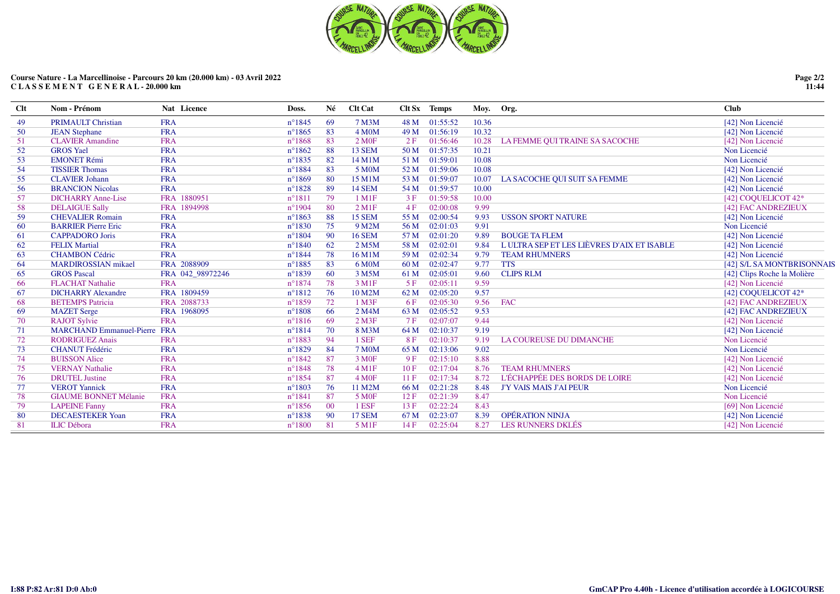

| $Cl$ t | Nom - Prénom                        | Nat Licence      | Doss.            | Né     | <b>Clt Cat</b>       |                 | Clt Sx Temps | Moy.  | Org.                                      | Club                        |
|--------|-------------------------------------|------------------|------------------|--------|----------------------|-----------------|--------------|-------|-------------------------------------------|-----------------------------|
| 49     | <b>PRIMAULT Christian</b>           | <b>FRA</b>       | $n^{\circ}1845$  | 69     | 7 M3M                | 48 M            | 01:55:52     | 10.36 |                                           | [42] Non Licencié           |
| 50     | <b>JEAN Stephane</b>                | <b>FRA</b>       | $n^{\circ}1865$  | 83     | 4 M <sub>O</sub> M   | 49 M            | 01:56:19     | 10.32 |                                           | [42] Non Licencié           |
| 51     | <b>CLAVIER Amandine</b>             | <b>FRA</b>       | $n^{\circ}1868$  | 83     | 2 M0F                | 2F              | 01:56:46     | 10.28 | LA FEMME QUI TRAINE SA SACOCHE            | [42] Non Licencié           |
| 52     | <b>GROS</b> Yael                    | <b>FRA</b>       | $n^{\circ}1862$  | 88     | <b>13 SEM</b>        | 50 M            | 01:57:35     | 10.21 |                                           | Non Licencié                |
| 53     | <b>EMONET Rémi</b>                  | <b>FRA</b>       | $n^{\circ}1835$  | 82     | 14 M1M               | 51 M            | 01:59:01     | 10.08 |                                           | Non Licencié                |
| 54     | <b>TISSIER Thomas</b>               | <b>FRA</b>       | $n^{\circ}1884$  | 83     | 5 M0M                | 52 M            | 01:59:06     | 10.08 |                                           | [42] Non Licencié           |
| 55     | <b>CLAVIER Johann</b>               | <b>FRA</b>       | $n^{\circ}1869$  | 80     | 15 M1M               | 53 M            | 01:59:07     | 10.07 | LA SACOCHE QUI SUIT SA FEMME              | [42] Non Licencié           |
| 56     | <b>BRANCION Nicolas</b>             | <b>FRA</b>       | $n^{\circ}1828$  | 89     | <b>14 SEM</b>        | 54 M            | 01:59:57     | 10.00 |                                           | [42] Non Licencié           |
| 57     | <b>DICHARRY Anne-Lise</b>           | FRA 1880951      | $n^{\circ}1811$  | 79     | $1$ M $1$ F          | 3F              | 01:59:58     | 10.00 |                                           | [42] COQUELICOT 42*         |
| 58     | <b>DELAIGUE Sally</b>               | FRA 1894998      | $n^{\circ}$ 1904 | 80     | $2$ M <sub>1</sub> F | 4F              | 02:00:08     | 9.99  |                                           | [42] FAC ANDREZIEUX         |
| 59     | <b>CHEVALIER Romain</b>             | <b>FRA</b>       | $n^{\circ}1863$  | 88     | <b>15 SEM</b>        | 55 M            | 02:00:54     | 9.93  | <b>USSON SPORT NATURE</b>                 | [42] Non Licencié           |
| 60     | <b>BARRIER Pierre Eric</b>          | <b>FRA</b>       | $n^{\circ}1830$  | 75     | 9 M2M                | 56 M            | 02:01:03     | 9.91  |                                           | Non Licencié                |
| -61    | <b>CAPPADORO</b> Joris              | <b>FRA</b>       | $n^{\circ}1804$  | 90     | <b>16 SEM</b>        | 57 M            | 02:01:20     | 9.89  | <b>BOUGE TA FLEM</b>                      | [42] Non Licencié           |
| 62     | <b>FELIX Martial</b>                | <b>FRA</b>       | $n^{\circ}1840$  | 62     | 2 M5M                | 58 M            | 02:02:01     | 9.84  | LULTRA SEP ET LES LIÈVRES D'AIX ET ISABLE | [42] Non Licencié           |
| 63     | <b>CHAMBON Cédric</b>               | <b>FRA</b>       | $n^{\circ}1844$  | 78     | 16 M1M               | 59 M            | 02:02:34     | 9.79  | <b>TEAM RHUMNERS</b>                      | [42] Non Licencié           |
| 64     | <b>MARDIROSSIAN</b> mikael          | FRA 2088909      | $n^{\circ}$ 1885 | 83     | 6 M <sub>0</sub> M   | 60 <sub>M</sub> | 02:02:47     | 9.77  | <b>TTS</b>                                | [42] S/L SA MONTBRISONNAIS  |
| 65     | <b>GROS Pascal</b>                  | FRA 042_98972246 | $n^{\circ}1839$  | 60     | 3 M5M                | 61 M            | 02:05:01     | 9.60  | <b>CLIPS RLM</b>                          | [42] Clips Roche la Molière |
| 66     | <b>FLACHAT Nathalie</b>             | <b>FRA</b>       | $n^{\circ}1874$  | 78     | 3 M1F                | 5F              | 02:05:11     | 9.59  |                                           | [42] Non Licencié           |
| 67     | <b>DICHARRY Alexandre</b>           | FRA 1809459      | $n^{\circ}1812$  | 76     | 10 M2M               | 62 M            | 02:05:20     | 9.57  |                                           | [42] COQUELICOT 42*         |
| 68     | <b>BETEMPS</b> Patricia             | FRA 2088733      | $n^{\circ}1859$  | 72     | 1 M3F                | 6 F             | 02:05:30     | 9.56  | <b>FAC</b>                                | [42] FAC ANDREZIEUX         |
| 69     | <b>MAZET</b> Serge                  | FRA 1968095      | $n^{\circ}1808$  | 66     | 2 M4M                | 63 M            | 02:05:52     | 9.53  |                                           | [42] FAC ANDREZIEUX         |
| 70     | <b>RAJOT Sylvie</b>                 | <b>FRA</b>       | $n^{\circ}1816$  | 69     | $2$ M3F              | 7F              | 02:07:07     | 9.44  |                                           | [42] Non Licencié           |
| 71     | <b>MARCHAND Emmanuel-Pierre FRA</b> |                  | $n^{\circ}1814$  | 70     | 8 M3M                | 64 M            | 02:10:37     | 9.19  |                                           | [42] Non Licencié           |
| 72     | <b>RODRIGUEZ Anais</b>              | <b>FRA</b>       | $n^{\circ}$ 1883 | 94     | 1 SEF                | 8F              | 02:10:37     | 9.19  | <b>LA COUREUSE DU DIMANCHE</b>            | Non Licencié                |
| 73     | <b>CHANUT Frédéric</b>              | <b>FRA</b>       | $n^{\circ}1829$  | 84     | <b>7 M0M</b>         | 65 M            | 02:13:06     | 9.02  |                                           | Non Licencié                |
| 74     | <b>BUISSON Alice</b>                | <b>FRA</b>       | $n^{\circ}1842$  | 87     | 3 M <sub>OF</sub>    | 9F              | 02:15:10     | 8.88  |                                           | [42] Non Licencié           |
| 75     | <b>VERNAY Nathalie</b>              | <b>FRA</b>       | $n^{\circ}1848$  | 78     | $4 \,\mathrm{M1F}$   | 10F             | 02:17:04     | 8.76  | <b>TEAM RHUMNERS</b>                      | [42] Non Licencié           |
| 76     | <b>DRUTEL Justine</b>               | <b>FRA</b>       | $n^{\circ}1854$  | 87     | 4 M <sub>OF</sub>    | 11F             | 02:17:34     | 8.72  | L'ÉCHAPPÉE DES BORDS DE LOIRE             | [42] Non Licencié           |
| 77     | <b>VEROT Yannick</b>                | <b>FRA</b>       | $n^{\circ}1803$  | 76     | 11 M2M               | 66 M            | 02:21:28     | 8.48  | <b>J'Y VAIS MAIS J'AI PEUR</b>            | Non Licencié                |
| 78     | <b>GIAUME BONNET Mélanie</b>        | <b>FRA</b>       | $n^{\circ}1841$  | 87     | 5 M <sub>OF</sub>    | 12F             | 02:21:39     | 8.47  |                                           | Non Licencié                |
| 79     | <b>LAPEINE Fanny</b>                | <b>FRA</b>       | $n^{\circ}1856$  | $00\,$ | 1 ESF                | 13F             | 02:22:24     | 8.43  |                                           | [69] Non Licencié           |
| -80    | <b>DECAESTEKER Yoan</b>             | <b>FRA</b>       | $n^{\circ}1838$  | 90     | <b>17 SEM</b>        | 67 M            | 02:23:07     | 8.39  | <b>OPÉRATION NINJA</b>                    | [42] Non Licencié           |
| 81     | <b>ILIC</b> Débora                  | <b>FRA</b>       | $n^{\circ}1800$  | 81     | 5 M1F                | 14F             | 02:25:04     | 8.27  | <b>LES RUNNERS DKLÉS</b>                  | [42] Non Licencié           |
|        |                                     |                  |                  |        |                      |                 |              |       |                                           |                             |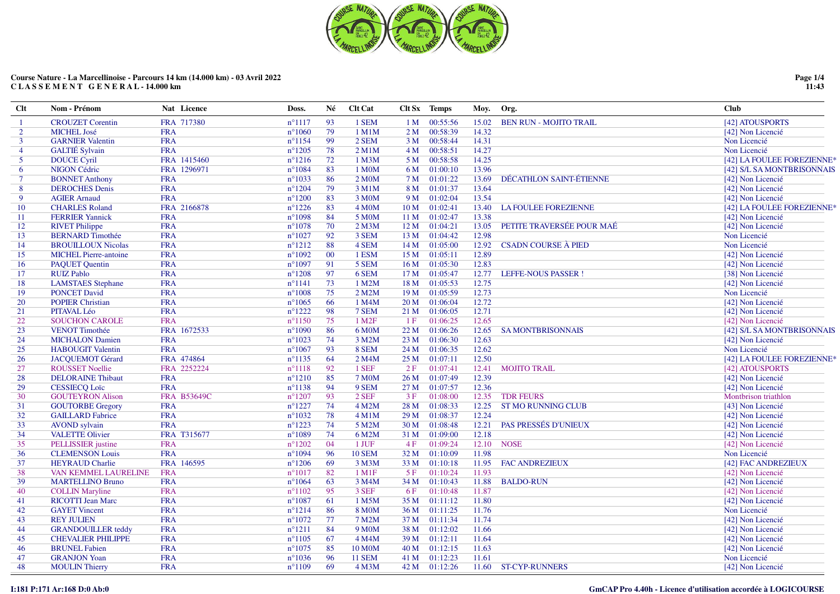

| Clt            | Nom - Prénom                 | Nat Licence        | Doss.           | Né     | <b>Clt Cat</b>     | Clt Sx          | Temps         | Moy.  | Org.                          | Club                       |
|----------------|------------------------------|--------------------|-----------------|--------|--------------------|-----------------|---------------|-------|-------------------------------|----------------------------|
| $\overline{1}$ | <b>CROUZET</b> Corentin      | FRA 717380         | $n^{\circ}1117$ | 93     | 1 SEM              | 1 M             | 00:55:56      | 15.02 | <b>BEN RUN - MOJITO TRAIL</b> | [42] ATOUSPORTS            |
| $\overline{2}$ | <b>MICHEL José</b>           | <b>FRA</b>         | $n^{\circ}1060$ | 79     | 1 M1M              | 2 M             | 00:58:39      | 14.32 |                               | [42] Non Licencié          |
| $\mathbf{3}$   | <b>GARNIER Valentin</b>      | <b>FRA</b>         | $n^{\circ}1154$ | 99     | 2 SEM              | 3 <sub>M</sub>  | 00:58:44      | 14.31 |                               | Non Licencié               |
| $\overline{4}$ | <b>GALTIÉ</b> Sylvain        | <b>FRA</b>         | $n^{\circ}1205$ | 78     | $2$ M $1$ M        | 4M              | 00:58:51      | 14.27 |                               | Non Licencié               |
| $\overline{5}$ | <b>DOUCE Cyril</b>           | FRA 1415460        | $n^{\circ}1216$ | 72     | 1 M3M              | 5 M             | 00:58:58      | 14.25 |                               | [42] LA FOULEE FOREZIENNE* |
| 6              | <b>NIGON Cédric</b>          | FRA 1296971        | $n^{\circ}1084$ | 83     | 1 M0M              | 6 M             | 01:00:10      | 13.96 |                               | [42] S/L SA MONTBRISONNAIS |
| $\tau$         | <b>BONNET Anthony</b>        | <b>FRA</b>         | $n^{\circ}1033$ | 86     | 2 MOM              | 7 M             | 01:01:22      | 13.69 | DÉCATHLON SAINT-ÉTIENNE       | [42] Non Licencié          |
| 8              | <b>DEROCHES</b> Denis        | <b>FRA</b>         | $n^{\circ}1204$ | 79     | 3 M1M              | 8 M             | 01:01:37      | 13.64 |                               | [42] Non Licencié          |
| $\mathbf{Q}$   | <b>AGIER Arnaud</b>          | <b>FRA</b>         | $n^{\circ}1200$ | 83     | 3 M0M              | 9 M             | 01:02:04      | 13.54 |                               | [42] Non Licencié          |
| 10             | <b>CHARLES Roland</b>        | FRA 2166878        | $n^{\circ}1226$ | 83     | 4 M <sub>O</sub> M | 10 <sub>M</sub> | 01:02:41      | 13.40 | <b>LA FOULEE FOREZIENNE</b>   | [42] LA FOULEE FOREZIENNE* |
| 11             | <b>FERRIER Yannick</b>       | <b>FRA</b>         | $n^{\circ}1098$ | 84     | 5 M <sub>0</sub> M | 11 <sub>M</sub> | 01:02:47      | 13.38 |                               | [42] Non Licencié          |
| 12             | <b>RIVET Philippe</b>        | <b>FRA</b>         | $n^{\circ}1078$ | 70     | $2$ M $3$ M        | 12 <sub>M</sub> | 01:04:21      | 13.05 | PETITE TRAVERSÉE POUR MAÉ     | [42] Non Licencié          |
| 13             | <b>BERNARD Timothée</b>      | <b>FRA</b>         | $n^{\circ}1027$ | 92     | 3 SEM              | 13M             | 01:04:42      | 12.98 |                               | Non Licencié               |
| 14             | <b>BROUILLOUX Nicolas</b>    | <b>FRA</b>         | $n^{\circ}1212$ | 88     | 4 SEM              | 14 M            | 01:05:00      | 12.92 | <b>CSADN COURSE À PIED</b>    | Non Licencié               |
| 15             | <b>MICHEL Pierre-antoine</b> | <b>FRA</b>         | $n^{\circ}1092$ | $00\,$ | 1 ESM              | 15 <sub>M</sub> | 01:05:11      | 12.89 |                               | [42] Non Licencié          |
| 16             | <b>PAQUET Quentin</b>        | <b>FRA</b>         | $n^{\circ}1097$ | 91     | 5 SEM              | 16M             | 01:05:30      | 12.83 |                               | [42] Non Licencié          |
| 17             | <b>RUIZ Pablo</b>            | <b>FRA</b>         | $n^{\circ}1208$ | 97     | 6 SEM              | 17 <sub>M</sub> | 01:05:47      | 12.77 | <b>LEFFE-NOUS PASSER!</b>     | [38] Non Licencié          |
| 18             | <b>LAMSTAES</b> Stephane     | <b>FRA</b>         | $n^{\circ}1141$ | 73     | 1 M2M              | 18 M            | 01:05:53      | 12.75 |                               | [42] Non Licencié          |
| 19             | <b>PONCET David</b>          | <b>FRA</b>         | $n^{\circ}1008$ | 75     | 2 M2M              | 19 <sub>M</sub> | 01:05:59      | 12.73 |                               | Non Licencié               |
| 20             | <b>POPIER Christian</b>      | <b>FRA</b>         | $n^{\circ}1065$ | 66     | 1 M4M              | 20 M            | 01:06:04      | 12.72 |                               | [42] Non Licencié          |
| 21             | PITAVAL Léo                  | <b>FRA</b>         | $n^{\circ}1222$ | 98     | 7 SEM              | 21 M            | 01:06:05      | 12.71 |                               | [42] Non Licencié          |
| 22             | <b>SOUCHON CAROLE</b>        | <b>FRA</b>         | $n^{\circ}1150$ | 75     | 1 M <sub>2F</sub>  | 1F              | 01:06:25      | 12.65 |                               | [42] Non Licencié          |
| 23             | <b>VENOT Timothée</b>        | FRA 1672533        | $n^{\circ}1090$ | 86     | 6 M0M              | 22 M            | 01:06:26      | 12.65 | <b>SAMONTBRISONNAIS</b>       | [42] S/L SA MONTBRISONNAIS |
| 24             | <b>MICHALON Damien</b>       | <b>FRA</b>         | $n^{\circ}1023$ | 74     | 3 M2M              | 23 M            | 01:06:30      | 12.63 |                               | [42] Non Licencié          |
| 25             | <b>HABOUGIT Valentin</b>     | <b>FRA</b>         | $n^{\circ}1067$ | 93     | 8 SEM              | 24 M            | 01:06:35      | 12.62 |                               | Non Licencié               |
| 26             | <b>JACQUEMOT Gérard</b>      | FRA 474864         | $n^{\circ}1135$ | 64     | 2 M4M              | 25 M            | 01:07:11      | 12.50 |                               | [42] LA FOULEE FOREZIENNE* |
| 27             | <b>ROUSSET Noellie</b>       | FRA 2252224        | $n^{\circ}1118$ | 92     | 1 SEF              | 2F              | 01:07:41      | 12.41 | <b>MOJITO TRAIL</b>           | [42] ATOUSPORTS            |
| 28             | <b>DELORAINE Thibaut</b>     | <b>FRA</b>         | $n^{\circ}1210$ | 85     | <b>7 MOM</b>       | 26 M            | 01:07:49      | 12.39 |                               | [42] Non Licencié          |
| 29             | <b>CESSIECQ Loïc</b>         | <b>FRA</b>         | $n^{\circ}1138$ | 94     | 9 SEM              | 27 M            | 01:07:57      | 12.36 |                               | [42] Non Licencié          |
| 30             | <b>GOUTEYRON Alison</b>      | <b>FRA B53649C</b> | $n^{\circ}1207$ | 93     | $2$ SEF            | 3F              | 01:08:00      | 12.35 | <b>TDR FEURS</b>              | Montbrison triathlon       |
| 31             | <b>GOUTORBE Gregory</b>      | <b>FRA</b>         | $n^{\circ}1227$ | 74     | 4 M2M              | 28 M            | 01:08:33      | 12.25 | <b>ST MO RUNNING CLUB</b>     | [43] Non Licencié          |
| 32             | <b>GAILLARD Fabrice</b>      | <b>FRA</b>         | $n^{\circ}1032$ | 78     | $4$ M $1$ M        | 29 M            | 01:08:37      | 12.24 |                               | [42] Non Licencié          |
| 33             | <b>AVOND</b> sylvain         | <b>FRA</b>         | $n^{\circ}1223$ | 74     | 5 M2M              | 30 M            | 01:08:48      | 12.21 | <b>PAS PRESSÉS D'UNIEUX</b>   | [42] Non Licencié          |
| 34             | <b>VALETTE Olivier</b>       | FRA T315677        | $n^{\circ}1089$ | 74     | 6 M2M              | 31 M            | 01:09:00      | 12.18 |                               | [42] Non Licencié          |
| 35             | PELLISSIER justine           | <b>FRA</b>         | $n^{\circ}1202$ | 04     | 1 JUF              | 4F              | 01:09:24      | 12.10 | <b>NOSE</b>                   | [42] Non Licencié          |
| 36             | <b>CLEMENSON Louis</b>       | <b>FRA</b>         | $n^{\circ}1094$ | 96     | <b>10 SEM</b>      | 32 M            | 01:10:09      | 11.98 |                               | Non Licencié               |
| 37             | <b>HEYRAUD Charlie</b>       | FRA 146595         | $n^{\circ}1206$ | 69     | 3 M3M              | 33 M            | 01:10:18      | 11.95 | <b>FAC ANDREZIEUX</b>         | [42] FAC ANDREZIEUX        |
| 38             | VAN KEMMEL LAURELINE         | <b>FRA</b>         | $n^{\circ}1017$ | 82     | $1$ M $1$ F        | 5F              | 01:10:24      | 11.93 |                               | [42] Non Licencié          |
| 39             | <b>MARTELLINO Bruno</b>      | <b>FRA</b>         | $n^{\circ}1064$ | 63     | 3 M4M              | 34 M            | 01:10:43      | 11.88 | <b>BALDO-RUN</b>              | [42] Non Licencié          |
| 40             | <b>COLLIN Maryline</b>       | <b>FRA</b>         | $n^{\circ}1102$ | 95     | 3 SEF              | 6 F             | 01:10:48      | 11.87 |                               | [42] Non Licencié          |
| 41             | <b>RICOTTI Jean Marc</b>     | <b>FRA</b>         | $n^{\circ}1087$ | 61     | 1 M5M              | 35 M            | 01:11:12      | 11.80 |                               | [42] Non Licencié          |
| 42             | <b>GAYET Vincent</b>         | <b>FRA</b>         | $n^{\circ}1214$ | 86     | <b>8 MOM</b>       | 36 M            | 01:11:25      | 11.76 |                               | Non Licencié               |
| 43             | <b>REY JULIEN</b>            | <b>FRA</b>         | $n^{\circ}1072$ | 77     | 7 M2M              | 37 M            | 01:11:34      | 11.74 |                               | [42] Non Licencié          |
| 44             | <b>GRANDOUILLER</b> teddy    | <b>FRA</b>         | $n^{\circ}1211$ | 84     | 9 M <sub>0</sub> M | 38 M            | 01:12:02      | 11.66 |                               | [42] Non Licencié          |
| 45             | <b>CHEVALIER PHILIPPE</b>    | <b>FRA</b>         | $n^{\circ}1105$ | 67     | 4 M4M              | 39 M            | 01:12:11      | 11.64 |                               | [42] Non Licencié          |
| 46             | <b>BRUNEL Fabien</b>         | <b>FRA</b>         | $n^{\circ}1075$ | 85     | 10 M0M             | 40 M            | 01:12:15      | 11.63 |                               | [42] Non Licencié          |
| 47             | <b>GRANJON Yoan</b>          | <b>FRA</b>         | $n^{\circ}1036$ | 96     | <b>11 SEM</b>      | 41 M            | 01:12:23      | 11.61 |                               | Non Licencié               |
| 48             | <b>MOULIN Thierry</b>        | <b>FRA</b>         | $n^{\circ}1109$ | 69     | 4 M <sub>3</sub> M |                 | 42 M 01:12:26 | 11.60 | <b>ST-CYP-RUNNERS</b>         | [42] Non Licencié          |
|                |                              |                    |                 |        |                    |                 |               |       |                               |                            |

**Page 1/4 11:43**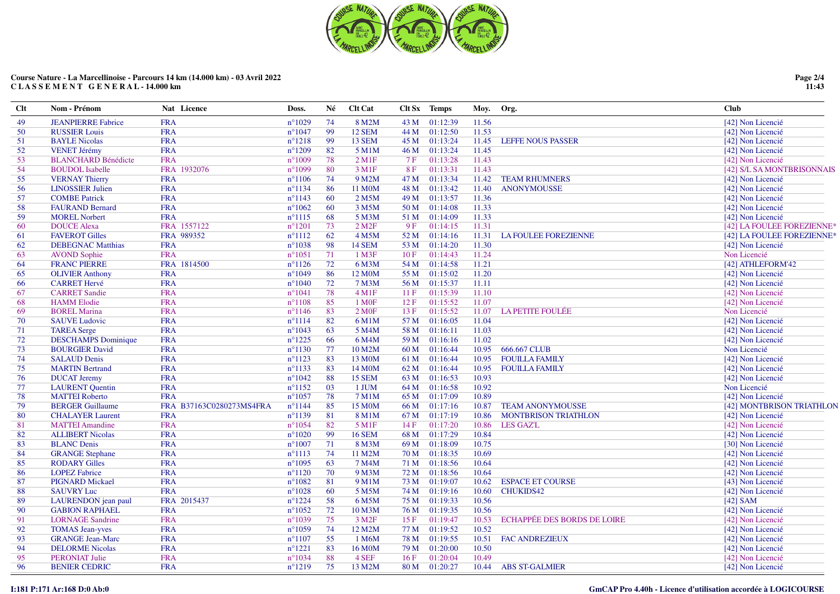

| 11.56<br><b>FRA</b><br>$n^{\circ}1029$<br>74<br>8 M2M<br>01:12:39<br><b>JEANPIERRE Fabrice</b><br>43 M<br>[42] Non Licencié<br>49<br><b>FRA</b><br>$n^{\circ}1047$<br>99<br><b>12 SEM</b><br>01:12:50<br>11.53<br><b>RUSSIER Louis</b><br>44 M<br>[42] Non Licencié<br>50<br><b>BAYLE Nicolas</b><br><b>FRA</b><br>$n^{\circ}1218$<br>99<br>13 SEM<br>01:13:24<br>11.45<br>45 M<br><b>LEFFE NOUS PASSER</b><br>[42] Non Licencié<br>51<br><b>FRA</b><br>$n^{\circ}1209$<br><b>VENET Jérémy</b><br>82<br>5 M1M<br>01:13:24<br>[42] Non Licencié<br>52<br>46 M<br>11.45<br>$2$ M <sub>1</sub> $F$<br>11.43<br><b>BLANCHARD Bénédicte</b><br><b>FRA</b><br>$n^{\circ}1009$<br>78<br>7F<br>01:13:28<br>[42] Non Licencié<br>53<br>FRA 1932076<br>$n^{\circ}1099$<br>80<br>3 M1F<br>01:13:31<br>11.43<br>54<br><b>BOUDOL</b> Isabelle<br>8F<br>[42] S/L SA MONTBRISONNAIS<br><b>VERNAY Thierry</b><br><b>FRA</b><br>$n^{\circ}1106$<br>74<br>9 M2M<br>47 M<br>01:13:34<br>11.42<br><b>TEAM RHUMNERS</b><br>55<br>[42] Non Licencié<br><b>FRA</b><br>$n^{\circ}1134$<br>86<br>48 M<br>01:13:42<br>11.40<br>56<br><b>LINOSSIER Julien</b><br>11 M0M<br><b>ANONYMOUSSE</b><br>[42] Non Licencié<br><b>COMBE Patrick</b><br><b>FRA</b><br>$n^{\circ}1143$<br>60<br>2 M5M<br>49 M<br>01:13:57<br>11.36<br>[42] Non Licencié<br>57<br><b>FRA</b><br>$n^{\circ}1062$<br>3 M5M<br>50 M<br>01:14:08<br>11.33<br>58<br><b>FAURAND Bernard</b><br>60<br>[42] Non Licencié<br><b>FRA</b><br>$n^{\circ}1115$<br>68<br>5 M3M<br>01:14:09<br>11.33<br>59<br><b>MOREL Norbert</b><br>51 M<br>[42] Non Licencié<br><b>DOUCE Alexa</b><br>FRA 1557122<br>$n^{\circ}1201$<br>$2$ M <sub>2</sub> $F$<br>01:14:15<br>11.31<br>[42] LA FOULEE FOREZIENNE*<br>73<br>9F<br>60<br>62<br>4 M5M<br><b>FAVEROT Gilles</b><br>FRA 989352<br>$n^{\circ}1112$<br>52 M<br>01:14:16<br>11.31<br><b>LA FOULEE FOREZIENNE</b><br>[42] LA FOULEE FOREZIENNE*<br>61<br>$n^{\circ}1038$<br>01:14:20<br><b>DEBEGNAC Matthias</b><br><b>FRA</b><br>98<br>14 SEM<br>11.30<br>[42] Non Licencié<br>62<br>53 M<br><b>FRA</b><br>71<br>1 M3F<br>01:14:43<br>11.24<br><b>AVOND Sophie</b><br>$n^{\circ}1051$<br>10F<br>Non Licencié<br>63<br><b>FRANC PIERRE</b><br>FRA 1814500<br>$n^{\circ}1126$<br>72<br>01:14:58<br>11.21<br>[42] ATHLEFORM'42<br>6 M3M<br>54 M<br>64<br>86<br><b>OLIVIER Anthony</b><br><b>FRA</b><br>$n^{\circ}1049$<br>12 M0M<br>01:15:02<br>11.20<br>[42] Non Licencié<br>65<br>55 M<br>01:15:37<br><b>CARRET Hervé</b><br><b>FRA</b><br>$n^{\circ}1040$<br>72<br><b>7 M3M</b><br>56 M<br>11.11<br>[42] Non Licencié<br>66<br>78<br>$4 \,\mathrm{M1F}$<br>01:15:39<br>11.10<br><b>CARRET Sandie</b><br><b>FRA</b><br>$n^{\circ}1041$<br>[42] Non Licencié<br>67<br>11 F<br>85<br>01:15:52<br>[42] Non Licencié<br><b>HAMM</b> Elodie<br><b>FRA</b><br>$n^{\circ}1108$<br>1 M <sub>OF</sub><br>12F<br>11.07<br>68<br>2 M0F<br><b>FRA</b><br>$n^{\circ}1146$<br>83<br>01:15:52<br>11.07<br><b>LA PETITE FOULÉE</b><br>Non Licencié<br>69<br><b>BOREL Marina</b><br>13F<br>01:16:05<br>[42] Non Licencié<br><b>SAUVE Ludovic</b><br><b>FRA</b><br>$n^{\circ}1114$<br>82<br>11.04<br>70<br>6 M1M<br>57 M<br><b>FRA</b><br>63<br>11.03<br>$n^{\circ}1043$<br>5 M4M<br>58 M<br>01:16:11<br>[42] Non Licencié<br>71<br><b>TAREA</b> Serge<br><b>DESCHAMPS</b> Dominique<br><b>FRA</b><br>$n^{\circ}1225$<br>66<br>01:16:16<br>11.02<br>[42] Non Licencié<br>72<br>6 M4M<br>59 M<br><b>FRA</b><br>$n^{\circ}1130$<br>10 M2M<br>01:16:44<br>10.95<br>666.667 CLUB<br>Non Licencié<br>73<br><b>BOURGIER David</b><br>77<br>60 M<br>[42] Non Licencié<br><b>SALAUD Denis</b><br><b>FRA</b><br>$n^{\circ}1123$<br>83<br>13 M0M<br>01:16:44<br><b>FOUILLA FAMILY</b><br>74<br>61 M<br>10.95<br><b>FRA</b><br>83<br>75<br><b>MARTIN Bertrand</b><br>$n^{\circ}1133$<br>14 M0M<br>62 M<br>01:16:44<br>10.95 FOUILLA FAMILY<br>[42] Non Licencié<br>$n^{\circ}1042$<br>01:16:53<br><b>DUCAT Jeremy</b><br><b>FRA</b><br>88<br><b>15 SEM</b><br>10.93<br>[42] Non Licencié<br>76<br>63 M<br><b>FRA</b><br>$n^{\circ}1152$<br>03<br>01:16:58<br>10.92<br>Non Licencié<br>77<br><b>LAURENT</b> Quentin<br>1 JUM<br>64 M<br><b>MATTEI Roberto</b><br><b>FRA</b><br>$n^{\circ}1057$<br>78<br>7 M1M<br>01:17:09<br>10.89<br>[42] Non Licencié<br>78<br>65 M<br>79<br><b>BERGER Guillaume</b><br>FRA B37163C0280273MS4FRA<br>$n^{\circ}1144$<br>85<br>15 M0M<br>01:17:16<br>10.87<br><b>TEAM ANONYMOUSSE</b><br>66 M<br>80<br><b>CHALAYER Laurent</b><br><b>FRA</b><br>$n^{\circ}1139$<br>81<br>8 M1M<br>67 M<br>01:17:19<br>10.86<br><b>MONTBRISON TRIATHLON</b><br>[42] Non Licencié<br>82<br>5 M1F<br>81<br><b>MATTEI Amandine</b><br><b>FRA</b><br>$n^{\circ}1054$<br>14F<br>01:17:20<br>10.86<br>LES GAZ'L<br>[42] Non Licencié<br><b>ALLIBERT Nicolas</b><br><b>FRA</b><br>$n^{\circ}1020$<br>99<br><b>16 SEM</b><br>01:17:29<br>10.84<br>[42] Non Licencié<br>82<br>68 M<br><b>BLANC</b> Denis<br><b>FRA</b><br>$n^{\circ}1007$<br>71<br>8 M3M<br>01:18:09<br>10.75<br>[30] Non Licencié<br>83<br>69 M<br>84<br><b>GRANGE Stephane</b><br><b>FRA</b><br>$n^{\circ}1113$<br>74<br>11 M2M<br>70 M<br>01:18:35<br>10.69<br>[42] Non Licencié<br>63<br>7 M4M<br>85<br><b>RODARY Gilles</b><br><b>FRA</b><br>$n^{\circ}1095$<br>71 M<br>01:18:56<br>10.64<br>[42] Non Licencié<br><b>LOPEZ Fabrice</b><br><b>FRA</b><br>$n^{\circ}1120$<br>70<br>9 M3M<br>72 M<br>01:18:56<br>10.64<br>[42] Non Licencié<br>86<br><b>PIGNARD Mickael</b><br><b>FRA</b><br>$n^{\circ}1082$<br>81<br>9 M1M<br>01:19:07<br>10.62<br><b>ESPACE ET COURSE</b><br>87<br>73 M<br>[43] Non Licencié<br><b>SAUVRY Luc</b><br><b>FRA</b><br>$n^{\circ}1028$<br>60<br>5 M5M<br>01:19:16<br>10.60<br><b>CHUKIDS42</b><br>[42] Non Licencié<br>88<br>74 M<br>FRA 2015437<br>$n^{\circ}1224$<br>58<br>6 M5M<br>01:19:33<br>10.56<br>89<br>LAURENDON jean paul<br>75 M<br>[42] $SAM$<br><b>GABION RAPHAEL</b><br><b>FRA</b><br>$n^{\circ}1052$<br>72<br>01:19:35<br>[42] Non Licencié<br>90<br>10 M3M<br>76 M<br>10.56<br><b>LORNAGE Sandrine</b><br><b>FRA</b><br>$n^{\circ}1039$<br>75<br>3 M <sub>2F</sub><br>01:19:47<br>10.53<br><b>ECHAPPÉE DES BORDS DE LOIRE</b><br>91<br>15 F<br>[42] Non Licencié<br><b>TOMAS Jean-yves</b><br><b>FRA</b><br>$n^{\circ}1059$<br>74<br>12 M2M<br>01:19:52<br>10.52<br>[42] Non Licencié<br>92<br>77 M<br><b>FRA</b><br>55<br>93<br><b>GRANGE Jean-Marc</b><br>$n^{\circ}1107$<br>1 M6M<br>78 M<br>01:19:55<br>10.51 FAC ANDREZIEUX<br>[42] Non Licencié<br><b>FRA</b><br>83<br>01:20:00<br>94<br><b>DELORME</b> Nicolas<br>$n^{\circ}1221$<br>16 M0M<br>79 M<br>10.50<br>[42] Non Licencié<br><b>FRA</b><br>88<br>4 SEF<br>01:20:04<br>10.49<br>95<br><b>PERONIAT Julie</b><br>$n^{\circ}1034$<br>16F<br>[42] Non Licencié<br>96<br><b>BENIER CEDRIC</b><br><b>FRA</b><br>$n^{\circ}1219$<br>75<br>13 M2M<br>80 M<br>01:20:27<br>10.44<br><b>ABS ST-GALMIER</b><br>[42] Non Licencié | $Cl$ t | Nom - Prénom | Nat Licence | Doss. | Né | <b>Clt Cat</b> | Clt Sx Temps | Moy. Org. | <b>Club</b> |
|-------------------------------------------------------------------------------------------------------------------------------------------------------------------------------------------------------------------------------------------------------------------------------------------------------------------------------------------------------------------------------------------------------------------------------------------------------------------------------------------------------------------------------------------------------------------------------------------------------------------------------------------------------------------------------------------------------------------------------------------------------------------------------------------------------------------------------------------------------------------------------------------------------------------------------------------------------------------------------------------------------------------------------------------------------------------------------------------------------------------------------------------------------------------------------------------------------------------------------------------------------------------------------------------------------------------------------------------------------------------------------------------------------------------------------------------------------------------------------------------------------------------------------------------------------------------------------------------------------------------------------------------------------------------------------------------------------------------------------------------------------------------------------------------------------------------------------------------------------------------------------------------------------------------------------------------------------------------------------------------------------------------------------------------------------------------------------------------------------------------------------------------------------------------------------------------------------------------------------------------------------------------------------------------------------------------------------------------------------------------------------------------------------------------------------------------------------------------------------------------------------------------------------------------------------------------------------------------------------------------------------------------------------------------------------------------------------------------------------------------------------------------------------------------------------------------------------------------------------------------------------------------------------------------------------------------------------------------------------------------------------------------------------------------------------------------------------------------------------------------------------------------------------------------------------------------------------------------------------------------------------------------------------------------------------------------------------------------------------------------------------------------------------------------------------------------------------------------------------------------------------------------------------------------------------------------------------------------------------------------------------------------------------------------------------------------------------------------------------------------------------------------------------------------------------------------------------------------------------------------------------------------------------------------------------------------------------------------------------------------------------------------------------------------------------------------------------------------------------------------------------------------------------------------------------------------------------------------------------------------------------------------------------------------------------------------------------------------------------------------------------------------------------------------------------------------------------------------------------------------------------------------------------------------------------------------------------------------------------------------------------------------------------------------------------------------------------------------------------------------------------------------------------------------------------------------------------------------------------------------------------------------------------------------------------------------------------------------------------------------------------------------------------------------------------------------------------------------------------------------------------------------------------------------------------------------------------------------------------------------------------------------------------------------------------------------------------------------------------------------------------------------------------------------------------------------------------------------------------------------------------------------------------------------------------------------------------------------------------------------------------------------------------------------------------------------------------------------------------------------------------------------------------------------------------------------------------------------------------------------------------------------------------------------------------------------------------------------------------------------------------------------------------------------------------------------------------------------------------------------------------------------------------------------------------------------------------------------------------------------------------------------------------------------------------------------------------------------------------------------------------------------------------------------------------------------------------------------------------------------------------------------------------------------------------------------------------------------------------------------------------------------------------------------------------------------------------------------------------------------------------------------------------------------------------------------------------------------------------------------------------------------------------------------------------------------------|--------|--------------|-------------|-------|----|----------------|--------------|-----------|-------------|
| [42] MONTBRISON TRIATHLON                                                                                                                                                                                                                                                                                                                                                                                                                                                                                                                                                                                                                                                                                                                                                                                                                                                                                                                                                                                                                                                                                                                                                                                                                                                                                                                                                                                                                                                                                                                                                                                                                                                                                                                                                                                                                                                                                                                                                                                                                                                                                                                                                                                                                                                                                                                                                                                                                                                                                                                                                                                                                                                                                                                                                                                                                                                                                                                                                                                                                                                                                                                                                                                                                                                                                                                                                                                                                                                                                                                                                                                                                                                                                                                                                                                                                                                                                                                                                                                                                                                                                                                                                                                                                                                                                                                                                                                                                                                                                                                                                                                                                                                                                                                                                                                                                                                                                                                                                                                                                                                                                                                                                                                                                                                                                                                                                                                                                                                                                                                                                                                                                                                                                                                                                                                                                                                                                                                                                                                                                                                                                                                                                                                                                                                                                                                                                                                                                                                                                                                                                                                                                                                                                                                                                                                                                                                                                                                       |        |              |             |       |    |                |              |           |             |
|                                                                                                                                                                                                                                                                                                                                                                                                                                                                                                                                                                                                                                                                                                                                                                                                                                                                                                                                                                                                                                                                                                                                                                                                                                                                                                                                                                                                                                                                                                                                                                                                                                                                                                                                                                                                                                                                                                                                                                                                                                                                                                                                                                                                                                                                                                                                                                                                                                                                                                                                                                                                                                                                                                                                                                                                                                                                                                                                                                                                                                                                                                                                                                                                                                                                                                                                                                                                                                                                                                                                                                                                                                                                                                                                                                                                                                                                                                                                                                                                                                                                                                                                                                                                                                                                                                                                                                                                                                                                                                                                                                                                                                                                                                                                                                                                                                                                                                                                                                                                                                                                                                                                                                                                                                                                                                                                                                                                                                                                                                                                                                                                                                                                                                                                                                                                                                                                                                                                                                                                                                                                                                                                                                                                                                                                                                                                                                                                                                                                                                                                                                                                                                                                                                                                                                                                                                                                                                                                                 |        |              |             |       |    |                |              |           |             |
|                                                                                                                                                                                                                                                                                                                                                                                                                                                                                                                                                                                                                                                                                                                                                                                                                                                                                                                                                                                                                                                                                                                                                                                                                                                                                                                                                                                                                                                                                                                                                                                                                                                                                                                                                                                                                                                                                                                                                                                                                                                                                                                                                                                                                                                                                                                                                                                                                                                                                                                                                                                                                                                                                                                                                                                                                                                                                                                                                                                                                                                                                                                                                                                                                                                                                                                                                                                                                                                                                                                                                                                                                                                                                                                                                                                                                                                                                                                                                                                                                                                                                                                                                                                                                                                                                                                                                                                                                                                                                                                                                                                                                                                                                                                                                                                                                                                                                                                                                                                                                                                                                                                                                                                                                                                                                                                                                                                                                                                                                                                                                                                                                                                                                                                                                                                                                                                                                                                                                                                                                                                                                                                                                                                                                                                                                                                                                                                                                                                                                                                                                                                                                                                                                                                                                                                                                                                                                                                                                 |        |              |             |       |    |                |              |           |             |
|                                                                                                                                                                                                                                                                                                                                                                                                                                                                                                                                                                                                                                                                                                                                                                                                                                                                                                                                                                                                                                                                                                                                                                                                                                                                                                                                                                                                                                                                                                                                                                                                                                                                                                                                                                                                                                                                                                                                                                                                                                                                                                                                                                                                                                                                                                                                                                                                                                                                                                                                                                                                                                                                                                                                                                                                                                                                                                                                                                                                                                                                                                                                                                                                                                                                                                                                                                                                                                                                                                                                                                                                                                                                                                                                                                                                                                                                                                                                                                                                                                                                                                                                                                                                                                                                                                                                                                                                                                                                                                                                                                                                                                                                                                                                                                                                                                                                                                                                                                                                                                                                                                                                                                                                                                                                                                                                                                                                                                                                                                                                                                                                                                                                                                                                                                                                                                                                                                                                                                                                                                                                                                                                                                                                                                                                                                                                                                                                                                                                                                                                                                                                                                                                                                                                                                                                                                                                                                                                                 |        |              |             |       |    |                |              |           |             |
|                                                                                                                                                                                                                                                                                                                                                                                                                                                                                                                                                                                                                                                                                                                                                                                                                                                                                                                                                                                                                                                                                                                                                                                                                                                                                                                                                                                                                                                                                                                                                                                                                                                                                                                                                                                                                                                                                                                                                                                                                                                                                                                                                                                                                                                                                                                                                                                                                                                                                                                                                                                                                                                                                                                                                                                                                                                                                                                                                                                                                                                                                                                                                                                                                                                                                                                                                                                                                                                                                                                                                                                                                                                                                                                                                                                                                                                                                                                                                                                                                                                                                                                                                                                                                                                                                                                                                                                                                                                                                                                                                                                                                                                                                                                                                                                                                                                                                                                                                                                                                                                                                                                                                                                                                                                                                                                                                                                                                                                                                                                                                                                                                                                                                                                                                                                                                                                                                                                                                                                                                                                                                                                                                                                                                                                                                                                                                                                                                                                                                                                                                                                                                                                                                                                                                                                                                                                                                                                                                 |        |              |             |       |    |                |              |           |             |
|                                                                                                                                                                                                                                                                                                                                                                                                                                                                                                                                                                                                                                                                                                                                                                                                                                                                                                                                                                                                                                                                                                                                                                                                                                                                                                                                                                                                                                                                                                                                                                                                                                                                                                                                                                                                                                                                                                                                                                                                                                                                                                                                                                                                                                                                                                                                                                                                                                                                                                                                                                                                                                                                                                                                                                                                                                                                                                                                                                                                                                                                                                                                                                                                                                                                                                                                                                                                                                                                                                                                                                                                                                                                                                                                                                                                                                                                                                                                                                                                                                                                                                                                                                                                                                                                                                                                                                                                                                                                                                                                                                                                                                                                                                                                                                                                                                                                                                                                                                                                                                                                                                                                                                                                                                                                                                                                                                                                                                                                                                                                                                                                                                                                                                                                                                                                                                                                                                                                                                                                                                                                                                                                                                                                                                                                                                                                                                                                                                                                                                                                                                                                                                                                                                                                                                                                                                                                                                                                                 |        |              |             |       |    |                |              |           |             |
|                                                                                                                                                                                                                                                                                                                                                                                                                                                                                                                                                                                                                                                                                                                                                                                                                                                                                                                                                                                                                                                                                                                                                                                                                                                                                                                                                                                                                                                                                                                                                                                                                                                                                                                                                                                                                                                                                                                                                                                                                                                                                                                                                                                                                                                                                                                                                                                                                                                                                                                                                                                                                                                                                                                                                                                                                                                                                                                                                                                                                                                                                                                                                                                                                                                                                                                                                                                                                                                                                                                                                                                                                                                                                                                                                                                                                                                                                                                                                                                                                                                                                                                                                                                                                                                                                                                                                                                                                                                                                                                                                                                                                                                                                                                                                                                                                                                                                                                                                                                                                                                                                                                                                                                                                                                                                                                                                                                                                                                                                                                                                                                                                                                                                                                                                                                                                                                                                                                                                                                                                                                                                                                                                                                                                                                                                                                                                                                                                                                                                                                                                                                                                                                                                                                                                                                                                                                                                                                                                 |        |              |             |       |    |                |              |           |             |
|                                                                                                                                                                                                                                                                                                                                                                                                                                                                                                                                                                                                                                                                                                                                                                                                                                                                                                                                                                                                                                                                                                                                                                                                                                                                                                                                                                                                                                                                                                                                                                                                                                                                                                                                                                                                                                                                                                                                                                                                                                                                                                                                                                                                                                                                                                                                                                                                                                                                                                                                                                                                                                                                                                                                                                                                                                                                                                                                                                                                                                                                                                                                                                                                                                                                                                                                                                                                                                                                                                                                                                                                                                                                                                                                                                                                                                                                                                                                                                                                                                                                                                                                                                                                                                                                                                                                                                                                                                                                                                                                                                                                                                                                                                                                                                                                                                                                                                                                                                                                                                                                                                                                                                                                                                                                                                                                                                                                                                                                                                                                                                                                                                                                                                                                                                                                                                                                                                                                                                                                                                                                                                                                                                                                                                                                                                                                                                                                                                                                                                                                                                                                                                                                                                                                                                                                                                                                                                                                                 |        |              |             |       |    |                |              |           |             |
|                                                                                                                                                                                                                                                                                                                                                                                                                                                                                                                                                                                                                                                                                                                                                                                                                                                                                                                                                                                                                                                                                                                                                                                                                                                                                                                                                                                                                                                                                                                                                                                                                                                                                                                                                                                                                                                                                                                                                                                                                                                                                                                                                                                                                                                                                                                                                                                                                                                                                                                                                                                                                                                                                                                                                                                                                                                                                                                                                                                                                                                                                                                                                                                                                                                                                                                                                                                                                                                                                                                                                                                                                                                                                                                                                                                                                                                                                                                                                                                                                                                                                                                                                                                                                                                                                                                                                                                                                                                                                                                                                                                                                                                                                                                                                                                                                                                                                                                                                                                                                                                                                                                                                                                                                                                                                                                                                                                                                                                                                                                                                                                                                                                                                                                                                                                                                                                                                                                                                                                                                                                                                                                                                                                                                                                                                                                                                                                                                                                                                                                                                                                                                                                                                                                                                                                                                                                                                                                                                 |        |              |             |       |    |                |              |           |             |
|                                                                                                                                                                                                                                                                                                                                                                                                                                                                                                                                                                                                                                                                                                                                                                                                                                                                                                                                                                                                                                                                                                                                                                                                                                                                                                                                                                                                                                                                                                                                                                                                                                                                                                                                                                                                                                                                                                                                                                                                                                                                                                                                                                                                                                                                                                                                                                                                                                                                                                                                                                                                                                                                                                                                                                                                                                                                                                                                                                                                                                                                                                                                                                                                                                                                                                                                                                                                                                                                                                                                                                                                                                                                                                                                                                                                                                                                                                                                                                                                                                                                                                                                                                                                                                                                                                                                                                                                                                                                                                                                                                                                                                                                                                                                                                                                                                                                                                                                                                                                                                                                                                                                                                                                                                                                                                                                                                                                                                                                                                                                                                                                                                                                                                                                                                                                                                                                                                                                                                                                                                                                                                                                                                                                                                                                                                                                                                                                                                                                                                                                                                                                                                                                                                                                                                                                                                                                                                                                                 |        |              |             |       |    |                |              |           |             |
|                                                                                                                                                                                                                                                                                                                                                                                                                                                                                                                                                                                                                                                                                                                                                                                                                                                                                                                                                                                                                                                                                                                                                                                                                                                                                                                                                                                                                                                                                                                                                                                                                                                                                                                                                                                                                                                                                                                                                                                                                                                                                                                                                                                                                                                                                                                                                                                                                                                                                                                                                                                                                                                                                                                                                                                                                                                                                                                                                                                                                                                                                                                                                                                                                                                                                                                                                                                                                                                                                                                                                                                                                                                                                                                                                                                                                                                                                                                                                                                                                                                                                                                                                                                                                                                                                                                                                                                                                                                                                                                                                                                                                                                                                                                                                                                                                                                                                                                                                                                                                                                                                                                                                                                                                                                                                                                                                                                                                                                                                                                                                                                                                                                                                                                                                                                                                                                                                                                                                                                                                                                                                                                                                                                                                                                                                                                                                                                                                                                                                                                                                                                                                                                                                                                                                                                                                                                                                                                                                 |        |              |             |       |    |                |              |           |             |
|                                                                                                                                                                                                                                                                                                                                                                                                                                                                                                                                                                                                                                                                                                                                                                                                                                                                                                                                                                                                                                                                                                                                                                                                                                                                                                                                                                                                                                                                                                                                                                                                                                                                                                                                                                                                                                                                                                                                                                                                                                                                                                                                                                                                                                                                                                                                                                                                                                                                                                                                                                                                                                                                                                                                                                                                                                                                                                                                                                                                                                                                                                                                                                                                                                                                                                                                                                                                                                                                                                                                                                                                                                                                                                                                                                                                                                                                                                                                                                                                                                                                                                                                                                                                                                                                                                                                                                                                                                                                                                                                                                                                                                                                                                                                                                                                                                                                                                                                                                                                                                                                                                                                                                                                                                                                                                                                                                                                                                                                                                                                                                                                                                                                                                                                                                                                                                                                                                                                                                                                                                                                                                                                                                                                                                                                                                                                                                                                                                                                                                                                                                                                                                                                                                                                                                                                                                                                                                                                                 |        |              |             |       |    |                |              |           |             |
|                                                                                                                                                                                                                                                                                                                                                                                                                                                                                                                                                                                                                                                                                                                                                                                                                                                                                                                                                                                                                                                                                                                                                                                                                                                                                                                                                                                                                                                                                                                                                                                                                                                                                                                                                                                                                                                                                                                                                                                                                                                                                                                                                                                                                                                                                                                                                                                                                                                                                                                                                                                                                                                                                                                                                                                                                                                                                                                                                                                                                                                                                                                                                                                                                                                                                                                                                                                                                                                                                                                                                                                                                                                                                                                                                                                                                                                                                                                                                                                                                                                                                                                                                                                                                                                                                                                                                                                                                                                                                                                                                                                                                                                                                                                                                                                                                                                                                                                                                                                                                                                                                                                                                                                                                                                                                                                                                                                                                                                                                                                                                                                                                                                                                                                                                                                                                                                                                                                                                                                                                                                                                                                                                                                                                                                                                                                                                                                                                                                                                                                                                                                                                                                                                                                                                                                                                                                                                                                                                 |        |              |             |       |    |                |              |           |             |
|                                                                                                                                                                                                                                                                                                                                                                                                                                                                                                                                                                                                                                                                                                                                                                                                                                                                                                                                                                                                                                                                                                                                                                                                                                                                                                                                                                                                                                                                                                                                                                                                                                                                                                                                                                                                                                                                                                                                                                                                                                                                                                                                                                                                                                                                                                                                                                                                                                                                                                                                                                                                                                                                                                                                                                                                                                                                                                                                                                                                                                                                                                                                                                                                                                                                                                                                                                                                                                                                                                                                                                                                                                                                                                                                                                                                                                                                                                                                                                                                                                                                                                                                                                                                                                                                                                                                                                                                                                                                                                                                                                                                                                                                                                                                                                                                                                                                                                                                                                                                                                                                                                                                                                                                                                                                                                                                                                                                                                                                                                                                                                                                                                                                                                                                                                                                                                                                                                                                                                                                                                                                                                                                                                                                                                                                                                                                                                                                                                                                                                                                                                                                                                                                                                                                                                                                                                                                                                                                                 |        |              |             |       |    |                |              |           |             |
|                                                                                                                                                                                                                                                                                                                                                                                                                                                                                                                                                                                                                                                                                                                                                                                                                                                                                                                                                                                                                                                                                                                                                                                                                                                                                                                                                                                                                                                                                                                                                                                                                                                                                                                                                                                                                                                                                                                                                                                                                                                                                                                                                                                                                                                                                                                                                                                                                                                                                                                                                                                                                                                                                                                                                                                                                                                                                                                                                                                                                                                                                                                                                                                                                                                                                                                                                                                                                                                                                                                                                                                                                                                                                                                                                                                                                                                                                                                                                                                                                                                                                                                                                                                                                                                                                                                                                                                                                                                                                                                                                                                                                                                                                                                                                                                                                                                                                                                                                                                                                                                                                                                                                                                                                                                                                                                                                                                                                                                                                                                                                                                                                                                                                                                                                                                                                                                                                                                                                                                                                                                                                                                                                                                                                                                                                                                                                                                                                                                                                                                                                                                                                                                                                                                                                                                                                                                                                                                                                 |        |              |             |       |    |                |              |           |             |
|                                                                                                                                                                                                                                                                                                                                                                                                                                                                                                                                                                                                                                                                                                                                                                                                                                                                                                                                                                                                                                                                                                                                                                                                                                                                                                                                                                                                                                                                                                                                                                                                                                                                                                                                                                                                                                                                                                                                                                                                                                                                                                                                                                                                                                                                                                                                                                                                                                                                                                                                                                                                                                                                                                                                                                                                                                                                                                                                                                                                                                                                                                                                                                                                                                                                                                                                                                                                                                                                                                                                                                                                                                                                                                                                                                                                                                                                                                                                                                                                                                                                                                                                                                                                                                                                                                                                                                                                                                                                                                                                                                                                                                                                                                                                                                                                                                                                                                                                                                                                                                                                                                                                                                                                                                                                                                                                                                                                                                                                                                                                                                                                                                                                                                                                                                                                                                                                                                                                                                                                                                                                                                                                                                                                                                                                                                                                                                                                                                                                                                                                                                                                                                                                                                                                                                                                                                                                                                                                                 |        |              |             |       |    |                |              |           |             |
|                                                                                                                                                                                                                                                                                                                                                                                                                                                                                                                                                                                                                                                                                                                                                                                                                                                                                                                                                                                                                                                                                                                                                                                                                                                                                                                                                                                                                                                                                                                                                                                                                                                                                                                                                                                                                                                                                                                                                                                                                                                                                                                                                                                                                                                                                                                                                                                                                                                                                                                                                                                                                                                                                                                                                                                                                                                                                                                                                                                                                                                                                                                                                                                                                                                                                                                                                                                                                                                                                                                                                                                                                                                                                                                                                                                                                                                                                                                                                                                                                                                                                                                                                                                                                                                                                                                                                                                                                                                                                                                                                                                                                                                                                                                                                                                                                                                                                                                                                                                                                                                                                                                                                                                                                                                                                                                                                                                                                                                                                                                                                                                                                                                                                                                                                                                                                                                                                                                                                                                                                                                                                                                                                                                                                                                                                                                                                                                                                                                                                                                                                                                                                                                                                                                                                                                                                                                                                                                                                 |        |              |             |       |    |                |              |           |             |
|                                                                                                                                                                                                                                                                                                                                                                                                                                                                                                                                                                                                                                                                                                                                                                                                                                                                                                                                                                                                                                                                                                                                                                                                                                                                                                                                                                                                                                                                                                                                                                                                                                                                                                                                                                                                                                                                                                                                                                                                                                                                                                                                                                                                                                                                                                                                                                                                                                                                                                                                                                                                                                                                                                                                                                                                                                                                                                                                                                                                                                                                                                                                                                                                                                                                                                                                                                                                                                                                                                                                                                                                                                                                                                                                                                                                                                                                                                                                                                                                                                                                                                                                                                                                                                                                                                                                                                                                                                                                                                                                                                                                                                                                                                                                                                                                                                                                                                                                                                                                                                                                                                                                                                                                                                                                                                                                                                                                                                                                                                                                                                                                                                                                                                                                                                                                                                                                                                                                                                                                                                                                                                                                                                                                                                                                                                                                                                                                                                                                                                                                                                                                                                                                                                                                                                                                                                                                                                                                                 |        |              |             |       |    |                |              |           |             |
|                                                                                                                                                                                                                                                                                                                                                                                                                                                                                                                                                                                                                                                                                                                                                                                                                                                                                                                                                                                                                                                                                                                                                                                                                                                                                                                                                                                                                                                                                                                                                                                                                                                                                                                                                                                                                                                                                                                                                                                                                                                                                                                                                                                                                                                                                                                                                                                                                                                                                                                                                                                                                                                                                                                                                                                                                                                                                                                                                                                                                                                                                                                                                                                                                                                                                                                                                                                                                                                                                                                                                                                                                                                                                                                                                                                                                                                                                                                                                                                                                                                                                                                                                                                                                                                                                                                                                                                                                                                                                                                                                                                                                                                                                                                                                                                                                                                                                                                                                                                                                                                                                                                                                                                                                                                                                                                                                                                                                                                                                                                                                                                                                                                                                                                                                                                                                                                                                                                                                                                                                                                                                                                                                                                                                                                                                                                                                                                                                                                                                                                                                                                                                                                                                                                                                                                                                                                                                                                                                 |        |              |             |       |    |                |              |           |             |
|                                                                                                                                                                                                                                                                                                                                                                                                                                                                                                                                                                                                                                                                                                                                                                                                                                                                                                                                                                                                                                                                                                                                                                                                                                                                                                                                                                                                                                                                                                                                                                                                                                                                                                                                                                                                                                                                                                                                                                                                                                                                                                                                                                                                                                                                                                                                                                                                                                                                                                                                                                                                                                                                                                                                                                                                                                                                                                                                                                                                                                                                                                                                                                                                                                                                                                                                                                                                                                                                                                                                                                                                                                                                                                                                                                                                                                                                                                                                                                                                                                                                                                                                                                                                                                                                                                                                                                                                                                                                                                                                                                                                                                                                                                                                                                                                                                                                                                                                                                                                                                                                                                                                                                                                                                                                                                                                                                                                                                                                                                                                                                                                                                                                                                                                                                                                                                                                                                                                                                                                                                                                                                                                                                                                                                                                                                                                                                                                                                                                                                                                                                                                                                                                                                                                                                                                                                                                                                                                                 |        |              |             |       |    |                |              |           |             |
|                                                                                                                                                                                                                                                                                                                                                                                                                                                                                                                                                                                                                                                                                                                                                                                                                                                                                                                                                                                                                                                                                                                                                                                                                                                                                                                                                                                                                                                                                                                                                                                                                                                                                                                                                                                                                                                                                                                                                                                                                                                                                                                                                                                                                                                                                                                                                                                                                                                                                                                                                                                                                                                                                                                                                                                                                                                                                                                                                                                                                                                                                                                                                                                                                                                                                                                                                                                                                                                                                                                                                                                                                                                                                                                                                                                                                                                                                                                                                                                                                                                                                                                                                                                                                                                                                                                                                                                                                                                                                                                                                                                                                                                                                                                                                                                                                                                                                                                                                                                                                                                                                                                                                                                                                                                                                                                                                                                                                                                                                                                                                                                                                                                                                                                                                                                                                                                                                                                                                                                                                                                                                                                                                                                                                                                                                                                                                                                                                                                                                                                                                                                                                                                                                                                                                                                                                                                                                                                                                 |        |              |             |       |    |                |              |           |             |
|                                                                                                                                                                                                                                                                                                                                                                                                                                                                                                                                                                                                                                                                                                                                                                                                                                                                                                                                                                                                                                                                                                                                                                                                                                                                                                                                                                                                                                                                                                                                                                                                                                                                                                                                                                                                                                                                                                                                                                                                                                                                                                                                                                                                                                                                                                                                                                                                                                                                                                                                                                                                                                                                                                                                                                                                                                                                                                                                                                                                                                                                                                                                                                                                                                                                                                                                                                                                                                                                                                                                                                                                                                                                                                                                                                                                                                                                                                                                                                                                                                                                                                                                                                                                                                                                                                                                                                                                                                                                                                                                                                                                                                                                                                                                                                                                                                                                                                                                                                                                                                                                                                                                                                                                                                                                                                                                                                                                                                                                                                                                                                                                                                                                                                                                                                                                                                                                                                                                                                                                                                                                                                                                                                                                                                                                                                                                                                                                                                                                                                                                                                                                                                                                                                                                                                                                                                                                                                                                                 |        |              |             |       |    |                |              |           |             |
|                                                                                                                                                                                                                                                                                                                                                                                                                                                                                                                                                                                                                                                                                                                                                                                                                                                                                                                                                                                                                                                                                                                                                                                                                                                                                                                                                                                                                                                                                                                                                                                                                                                                                                                                                                                                                                                                                                                                                                                                                                                                                                                                                                                                                                                                                                                                                                                                                                                                                                                                                                                                                                                                                                                                                                                                                                                                                                                                                                                                                                                                                                                                                                                                                                                                                                                                                                                                                                                                                                                                                                                                                                                                                                                                                                                                                                                                                                                                                                                                                                                                                                                                                                                                                                                                                                                                                                                                                                                                                                                                                                                                                                                                                                                                                                                                                                                                                                                                                                                                                                                                                                                                                                                                                                                                                                                                                                                                                                                                                                                                                                                                                                                                                                                                                                                                                                                                                                                                                                                                                                                                                                                                                                                                                                                                                                                                                                                                                                                                                                                                                                                                                                                                                                                                                                                                                                                                                                                                                 |        |              |             |       |    |                |              |           |             |
|                                                                                                                                                                                                                                                                                                                                                                                                                                                                                                                                                                                                                                                                                                                                                                                                                                                                                                                                                                                                                                                                                                                                                                                                                                                                                                                                                                                                                                                                                                                                                                                                                                                                                                                                                                                                                                                                                                                                                                                                                                                                                                                                                                                                                                                                                                                                                                                                                                                                                                                                                                                                                                                                                                                                                                                                                                                                                                                                                                                                                                                                                                                                                                                                                                                                                                                                                                                                                                                                                                                                                                                                                                                                                                                                                                                                                                                                                                                                                                                                                                                                                                                                                                                                                                                                                                                                                                                                                                                                                                                                                                                                                                                                                                                                                                                                                                                                                                                                                                                                                                                                                                                                                                                                                                                                                                                                                                                                                                                                                                                                                                                                                                                                                                                                                                                                                                                                                                                                                                                                                                                                                                                                                                                                                                                                                                                                                                                                                                                                                                                                                                                                                                                                                                                                                                                                                                                                                                                                                 |        |              |             |       |    |                |              |           |             |
|                                                                                                                                                                                                                                                                                                                                                                                                                                                                                                                                                                                                                                                                                                                                                                                                                                                                                                                                                                                                                                                                                                                                                                                                                                                                                                                                                                                                                                                                                                                                                                                                                                                                                                                                                                                                                                                                                                                                                                                                                                                                                                                                                                                                                                                                                                                                                                                                                                                                                                                                                                                                                                                                                                                                                                                                                                                                                                                                                                                                                                                                                                                                                                                                                                                                                                                                                                                                                                                                                                                                                                                                                                                                                                                                                                                                                                                                                                                                                                                                                                                                                                                                                                                                                                                                                                                                                                                                                                                                                                                                                                                                                                                                                                                                                                                                                                                                                                                                                                                                                                                                                                                                                                                                                                                                                                                                                                                                                                                                                                                                                                                                                                                                                                                                                                                                                                                                                                                                                                                                                                                                                                                                                                                                                                                                                                                                                                                                                                                                                                                                                                                                                                                                                                                                                                                                                                                                                                                                                 |        |              |             |       |    |                |              |           |             |
|                                                                                                                                                                                                                                                                                                                                                                                                                                                                                                                                                                                                                                                                                                                                                                                                                                                                                                                                                                                                                                                                                                                                                                                                                                                                                                                                                                                                                                                                                                                                                                                                                                                                                                                                                                                                                                                                                                                                                                                                                                                                                                                                                                                                                                                                                                                                                                                                                                                                                                                                                                                                                                                                                                                                                                                                                                                                                                                                                                                                                                                                                                                                                                                                                                                                                                                                                                                                                                                                                                                                                                                                                                                                                                                                                                                                                                                                                                                                                                                                                                                                                                                                                                                                                                                                                                                                                                                                                                                                                                                                                                                                                                                                                                                                                                                                                                                                                                                                                                                                                                                                                                                                                                                                                                                                                                                                                                                                                                                                                                                                                                                                                                                                                                                                                                                                                                                                                                                                                                                                                                                                                                                                                                                                                                                                                                                                                                                                                                                                                                                                                                                                                                                                                                                                                                                                                                                                                                                                                 |        |              |             |       |    |                |              |           |             |
|                                                                                                                                                                                                                                                                                                                                                                                                                                                                                                                                                                                                                                                                                                                                                                                                                                                                                                                                                                                                                                                                                                                                                                                                                                                                                                                                                                                                                                                                                                                                                                                                                                                                                                                                                                                                                                                                                                                                                                                                                                                                                                                                                                                                                                                                                                                                                                                                                                                                                                                                                                                                                                                                                                                                                                                                                                                                                                                                                                                                                                                                                                                                                                                                                                                                                                                                                                                                                                                                                                                                                                                                                                                                                                                                                                                                                                                                                                                                                                                                                                                                                                                                                                                                                                                                                                                                                                                                                                                                                                                                                                                                                                                                                                                                                                                                                                                                                                                                                                                                                                                                                                                                                                                                                                                                                                                                                                                                                                                                                                                                                                                                                                                                                                                                                                                                                                                                                                                                                                                                                                                                                                                                                                                                                                                                                                                                                                                                                                                                                                                                                                                                                                                                                                                                                                                                                                                                                                                                                 |        |              |             |       |    |                |              |           |             |
|                                                                                                                                                                                                                                                                                                                                                                                                                                                                                                                                                                                                                                                                                                                                                                                                                                                                                                                                                                                                                                                                                                                                                                                                                                                                                                                                                                                                                                                                                                                                                                                                                                                                                                                                                                                                                                                                                                                                                                                                                                                                                                                                                                                                                                                                                                                                                                                                                                                                                                                                                                                                                                                                                                                                                                                                                                                                                                                                                                                                                                                                                                                                                                                                                                                                                                                                                                                                                                                                                                                                                                                                                                                                                                                                                                                                                                                                                                                                                                                                                                                                                                                                                                                                                                                                                                                                                                                                                                                                                                                                                                                                                                                                                                                                                                                                                                                                                                                                                                                                                                                                                                                                                                                                                                                                                                                                                                                                                                                                                                                                                                                                                                                                                                                                                                                                                                                                                                                                                                                                                                                                                                                                                                                                                                                                                                                                                                                                                                                                                                                                                                                                                                                                                                                                                                                                                                                                                                                                                 |        |              |             |       |    |                |              |           |             |
|                                                                                                                                                                                                                                                                                                                                                                                                                                                                                                                                                                                                                                                                                                                                                                                                                                                                                                                                                                                                                                                                                                                                                                                                                                                                                                                                                                                                                                                                                                                                                                                                                                                                                                                                                                                                                                                                                                                                                                                                                                                                                                                                                                                                                                                                                                                                                                                                                                                                                                                                                                                                                                                                                                                                                                                                                                                                                                                                                                                                                                                                                                                                                                                                                                                                                                                                                                                                                                                                                                                                                                                                                                                                                                                                                                                                                                                                                                                                                                                                                                                                                                                                                                                                                                                                                                                                                                                                                                                                                                                                                                                                                                                                                                                                                                                                                                                                                                                                                                                                                                                                                                                                                                                                                                                                                                                                                                                                                                                                                                                                                                                                                                                                                                                                                                                                                                                                                                                                                                                                                                                                                                                                                                                                                                                                                                                                                                                                                                                                                                                                                                                                                                                                                                                                                                                                                                                                                                                                                 |        |              |             |       |    |                |              |           |             |
|                                                                                                                                                                                                                                                                                                                                                                                                                                                                                                                                                                                                                                                                                                                                                                                                                                                                                                                                                                                                                                                                                                                                                                                                                                                                                                                                                                                                                                                                                                                                                                                                                                                                                                                                                                                                                                                                                                                                                                                                                                                                                                                                                                                                                                                                                                                                                                                                                                                                                                                                                                                                                                                                                                                                                                                                                                                                                                                                                                                                                                                                                                                                                                                                                                                                                                                                                                                                                                                                                                                                                                                                                                                                                                                                                                                                                                                                                                                                                                                                                                                                                                                                                                                                                                                                                                                                                                                                                                                                                                                                                                                                                                                                                                                                                                                                                                                                                                                                                                                                                                                                                                                                                                                                                                                                                                                                                                                                                                                                                                                                                                                                                                                                                                                                                                                                                                                                                                                                                                                                                                                                                                                                                                                                                                                                                                                                                                                                                                                                                                                                                                                                                                                                                                                                                                                                                                                                                                                                                 |        |              |             |       |    |                |              |           |             |
|                                                                                                                                                                                                                                                                                                                                                                                                                                                                                                                                                                                                                                                                                                                                                                                                                                                                                                                                                                                                                                                                                                                                                                                                                                                                                                                                                                                                                                                                                                                                                                                                                                                                                                                                                                                                                                                                                                                                                                                                                                                                                                                                                                                                                                                                                                                                                                                                                                                                                                                                                                                                                                                                                                                                                                                                                                                                                                                                                                                                                                                                                                                                                                                                                                                                                                                                                                                                                                                                                                                                                                                                                                                                                                                                                                                                                                                                                                                                                                                                                                                                                                                                                                                                                                                                                                                                                                                                                                                                                                                                                                                                                                                                                                                                                                                                                                                                                                                                                                                                                                                                                                                                                                                                                                                                                                                                                                                                                                                                                                                                                                                                                                                                                                                                                                                                                                                                                                                                                                                                                                                                                                                                                                                                                                                                                                                                                                                                                                                                                                                                                                                                                                                                                                                                                                                                                                                                                                                                                 |        |              |             |       |    |                |              |           |             |
|                                                                                                                                                                                                                                                                                                                                                                                                                                                                                                                                                                                                                                                                                                                                                                                                                                                                                                                                                                                                                                                                                                                                                                                                                                                                                                                                                                                                                                                                                                                                                                                                                                                                                                                                                                                                                                                                                                                                                                                                                                                                                                                                                                                                                                                                                                                                                                                                                                                                                                                                                                                                                                                                                                                                                                                                                                                                                                                                                                                                                                                                                                                                                                                                                                                                                                                                                                                                                                                                                                                                                                                                                                                                                                                                                                                                                                                                                                                                                                                                                                                                                                                                                                                                                                                                                                                                                                                                                                                                                                                                                                                                                                                                                                                                                                                                                                                                                                                                                                                                                                                                                                                                                                                                                                                                                                                                                                                                                                                                                                                                                                                                                                                                                                                                                                                                                                                                                                                                                                                                                                                                                                                                                                                                                                                                                                                                                                                                                                                                                                                                                                                                                                                                                                                                                                                                                                                                                                                                                 |        |              |             |       |    |                |              |           |             |
|                                                                                                                                                                                                                                                                                                                                                                                                                                                                                                                                                                                                                                                                                                                                                                                                                                                                                                                                                                                                                                                                                                                                                                                                                                                                                                                                                                                                                                                                                                                                                                                                                                                                                                                                                                                                                                                                                                                                                                                                                                                                                                                                                                                                                                                                                                                                                                                                                                                                                                                                                                                                                                                                                                                                                                                                                                                                                                                                                                                                                                                                                                                                                                                                                                                                                                                                                                                                                                                                                                                                                                                                                                                                                                                                                                                                                                                                                                                                                                                                                                                                                                                                                                                                                                                                                                                                                                                                                                                                                                                                                                                                                                                                                                                                                                                                                                                                                                                                                                                                                                                                                                                                                                                                                                                                                                                                                                                                                                                                                                                                                                                                                                                                                                                                                                                                                                                                                                                                                                                                                                                                                                                                                                                                                                                                                                                                                                                                                                                                                                                                                                                                                                                                                                                                                                                                                                                                                                                                                 |        |              |             |       |    |                |              |           |             |
|                                                                                                                                                                                                                                                                                                                                                                                                                                                                                                                                                                                                                                                                                                                                                                                                                                                                                                                                                                                                                                                                                                                                                                                                                                                                                                                                                                                                                                                                                                                                                                                                                                                                                                                                                                                                                                                                                                                                                                                                                                                                                                                                                                                                                                                                                                                                                                                                                                                                                                                                                                                                                                                                                                                                                                                                                                                                                                                                                                                                                                                                                                                                                                                                                                                                                                                                                                                                                                                                                                                                                                                                                                                                                                                                                                                                                                                                                                                                                                                                                                                                                                                                                                                                                                                                                                                                                                                                                                                                                                                                                                                                                                                                                                                                                                                                                                                                                                                                                                                                                                                                                                                                                                                                                                                                                                                                                                                                                                                                                                                                                                                                                                                                                                                                                                                                                                                                                                                                                                                                                                                                                                                                                                                                                                                                                                                                                                                                                                                                                                                                                                                                                                                                                                                                                                                                                                                                                                                                                 |        |              |             |       |    |                |              |           |             |
|                                                                                                                                                                                                                                                                                                                                                                                                                                                                                                                                                                                                                                                                                                                                                                                                                                                                                                                                                                                                                                                                                                                                                                                                                                                                                                                                                                                                                                                                                                                                                                                                                                                                                                                                                                                                                                                                                                                                                                                                                                                                                                                                                                                                                                                                                                                                                                                                                                                                                                                                                                                                                                                                                                                                                                                                                                                                                                                                                                                                                                                                                                                                                                                                                                                                                                                                                                                                                                                                                                                                                                                                                                                                                                                                                                                                                                                                                                                                                                                                                                                                                                                                                                                                                                                                                                                                                                                                                                                                                                                                                                                                                                                                                                                                                                                                                                                                                                                                                                                                                                                                                                                                                                                                                                                                                                                                                                                                                                                                                                                                                                                                                                                                                                                                                                                                                                                                                                                                                                                                                                                                                                                                                                                                                                                                                                                                                                                                                                                                                                                                                                                                                                                                                                                                                                                                                                                                                                                                                 |        |              |             |       |    |                |              |           |             |
|                                                                                                                                                                                                                                                                                                                                                                                                                                                                                                                                                                                                                                                                                                                                                                                                                                                                                                                                                                                                                                                                                                                                                                                                                                                                                                                                                                                                                                                                                                                                                                                                                                                                                                                                                                                                                                                                                                                                                                                                                                                                                                                                                                                                                                                                                                                                                                                                                                                                                                                                                                                                                                                                                                                                                                                                                                                                                                                                                                                                                                                                                                                                                                                                                                                                                                                                                                                                                                                                                                                                                                                                                                                                                                                                                                                                                                                                                                                                                                                                                                                                                                                                                                                                                                                                                                                                                                                                                                                                                                                                                                                                                                                                                                                                                                                                                                                                                                                                                                                                                                                                                                                                                                                                                                                                                                                                                                                                                                                                                                                                                                                                                                                                                                                                                                                                                                                                                                                                                                                                                                                                                                                                                                                                                                                                                                                                                                                                                                                                                                                                                                                                                                                                                                                                                                                                                                                                                                                                                 |        |              |             |       |    |                |              |           |             |
|                                                                                                                                                                                                                                                                                                                                                                                                                                                                                                                                                                                                                                                                                                                                                                                                                                                                                                                                                                                                                                                                                                                                                                                                                                                                                                                                                                                                                                                                                                                                                                                                                                                                                                                                                                                                                                                                                                                                                                                                                                                                                                                                                                                                                                                                                                                                                                                                                                                                                                                                                                                                                                                                                                                                                                                                                                                                                                                                                                                                                                                                                                                                                                                                                                                                                                                                                                                                                                                                                                                                                                                                                                                                                                                                                                                                                                                                                                                                                                                                                                                                                                                                                                                                                                                                                                                                                                                                                                                                                                                                                                                                                                                                                                                                                                                                                                                                                                                                                                                                                                                                                                                                                                                                                                                                                                                                                                                                                                                                                                                                                                                                                                                                                                                                                                                                                                                                                                                                                                                                                                                                                                                                                                                                                                                                                                                                                                                                                                                                                                                                                                                                                                                                                                                                                                                                                                                                                                                                                 |        |              |             |       |    |                |              |           |             |
|                                                                                                                                                                                                                                                                                                                                                                                                                                                                                                                                                                                                                                                                                                                                                                                                                                                                                                                                                                                                                                                                                                                                                                                                                                                                                                                                                                                                                                                                                                                                                                                                                                                                                                                                                                                                                                                                                                                                                                                                                                                                                                                                                                                                                                                                                                                                                                                                                                                                                                                                                                                                                                                                                                                                                                                                                                                                                                                                                                                                                                                                                                                                                                                                                                                                                                                                                                                                                                                                                                                                                                                                                                                                                                                                                                                                                                                                                                                                                                                                                                                                                                                                                                                                                                                                                                                                                                                                                                                                                                                                                                                                                                                                                                                                                                                                                                                                                                                                                                                                                                                                                                                                                                                                                                                                                                                                                                                                                                                                                                                                                                                                                                                                                                                                                                                                                                                                                                                                                                                                                                                                                                                                                                                                                                                                                                                                                                                                                                                                                                                                                                                                                                                                                                                                                                                                                                                                                                                                                 |        |              |             |       |    |                |              |           |             |
|                                                                                                                                                                                                                                                                                                                                                                                                                                                                                                                                                                                                                                                                                                                                                                                                                                                                                                                                                                                                                                                                                                                                                                                                                                                                                                                                                                                                                                                                                                                                                                                                                                                                                                                                                                                                                                                                                                                                                                                                                                                                                                                                                                                                                                                                                                                                                                                                                                                                                                                                                                                                                                                                                                                                                                                                                                                                                                                                                                                                                                                                                                                                                                                                                                                                                                                                                                                                                                                                                                                                                                                                                                                                                                                                                                                                                                                                                                                                                                                                                                                                                                                                                                                                                                                                                                                                                                                                                                                                                                                                                                                                                                                                                                                                                                                                                                                                                                                                                                                                                                                                                                                                                                                                                                                                                                                                                                                                                                                                                                                                                                                                                                                                                                                                                                                                                                                                                                                                                                                                                                                                                                                                                                                                                                                                                                                                                                                                                                                                                                                                                                                                                                                                                                                                                                                                                                                                                                                                                 |        |              |             |       |    |                |              |           |             |
|                                                                                                                                                                                                                                                                                                                                                                                                                                                                                                                                                                                                                                                                                                                                                                                                                                                                                                                                                                                                                                                                                                                                                                                                                                                                                                                                                                                                                                                                                                                                                                                                                                                                                                                                                                                                                                                                                                                                                                                                                                                                                                                                                                                                                                                                                                                                                                                                                                                                                                                                                                                                                                                                                                                                                                                                                                                                                                                                                                                                                                                                                                                                                                                                                                                                                                                                                                                                                                                                                                                                                                                                                                                                                                                                                                                                                                                                                                                                                                                                                                                                                                                                                                                                                                                                                                                                                                                                                                                                                                                                                                                                                                                                                                                                                                                                                                                                                                                                                                                                                                                                                                                                                                                                                                                                                                                                                                                                                                                                                                                                                                                                                                                                                                                                                                                                                                                                                                                                                                                                                                                                                                                                                                                                                                                                                                                                                                                                                                                                                                                                                                                                                                                                                                                                                                                                                                                                                                                                                 |        |              |             |       |    |                |              |           |             |
|                                                                                                                                                                                                                                                                                                                                                                                                                                                                                                                                                                                                                                                                                                                                                                                                                                                                                                                                                                                                                                                                                                                                                                                                                                                                                                                                                                                                                                                                                                                                                                                                                                                                                                                                                                                                                                                                                                                                                                                                                                                                                                                                                                                                                                                                                                                                                                                                                                                                                                                                                                                                                                                                                                                                                                                                                                                                                                                                                                                                                                                                                                                                                                                                                                                                                                                                                                                                                                                                                                                                                                                                                                                                                                                                                                                                                                                                                                                                                                                                                                                                                                                                                                                                                                                                                                                                                                                                                                                                                                                                                                                                                                                                                                                                                                                                                                                                                                                                                                                                                                                                                                                                                                                                                                                                                                                                                                                                                                                                                                                                                                                                                                                                                                                                                                                                                                                                                                                                                                                                                                                                                                                                                                                                                                                                                                                                                                                                                                                                                                                                                                                                                                                                                                                                                                                                                                                                                                                                                 |        |              |             |       |    |                |              |           |             |
|                                                                                                                                                                                                                                                                                                                                                                                                                                                                                                                                                                                                                                                                                                                                                                                                                                                                                                                                                                                                                                                                                                                                                                                                                                                                                                                                                                                                                                                                                                                                                                                                                                                                                                                                                                                                                                                                                                                                                                                                                                                                                                                                                                                                                                                                                                                                                                                                                                                                                                                                                                                                                                                                                                                                                                                                                                                                                                                                                                                                                                                                                                                                                                                                                                                                                                                                                                                                                                                                                                                                                                                                                                                                                                                                                                                                                                                                                                                                                                                                                                                                                                                                                                                                                                                                                                                                                                                                                                                                                                                                                                                                                                                                                                                                                                                                                                                                                                                                                                                                                                                                                                                                                                                                                                                                                                                                                                                                                                                                                                                                                                                                                                                                                                                                                                                                                                                                                                                                                                                                                                                                                                                                                                                                                                                                                                                                                                                                                                                                                                                                                                                                                                                                                                                                                                                                                                                                                                                                                 |        |              |             |       |    |                |              |           |             |
|                                                                                                                                                                                                                                                                                                                                                                                                                                                                                                                                                                                                                                                                                                                                                                                                                                                                                                                                                                                                                                                                                                                                                                                                                                                                                                                                                                                                                                                                                                                                                                                                                                                                                                                                                                                                                                                                                                                                                                                                                                                                                                                                                                                                                                                                                                                                                                                                                                                                                                                                                                                                                                                                                                                                                                                                                                                                                                                                                                                                                                                                                                                                                                                                                                                                                                                                                                                                                                                                                                                                                                                                                                                                                                                                                                                                                                                                                                                                                                                                                                                                                                                                                                                                                                                                                                                                                                                                                                                                                                                                                                                                                                                                                                                                                                                                                                                                                                                                                                                                                                                                                                                                                                                                                                                                                                                                                                                                                                                                                                                                                                                                                                                                                                                                                                                                                                                                                                                                                                                                                                                                                                                                                                                                                                                                                                                                                                                                                                                                                                                                                                                                                                                                                                                                                                                                                                                                                                                                                 |        |              |             |       |    |                |              |           |             |
|                                                                                                                                                                                                                                                                                                                                                                                                                                                                                                                                                                                                                                                                                                                                                                                                                                                                                                                                                                                                                                                                                                                                                                                                                                                                                                                                                                                                                                                                                                                                                                                                                                                                                                                                                                                                                                                                                                                                                                                                                                                                                                                                                                                                                                                                                                                                                                                                                                                                                                                                                                                                                                                                                                                                                                                                                                                                                                                                                                                                                                                                                                                                                                                                                                                                                                                                                                                                                                                                                                                                                                                                                                                                                                                                                                                                                                                                                                                                                                                                                                                                                                                                                                                                                                                                                                                                                                                                                                                                                                                                                                                                                                                                                                                                                                                                                                                                                                                                                                                                                                                                                                                                                                                                                                                                                                                                                                                                                                                                                                                                                                                                                                                                                                                                                                                                                                                                                                                                                                                                                                                                                                                                                                                                                                                                                                                                                                                                                                                                                                                                                                                                                                                                                                                                                                                                                                                                                                                                                 |        |              |             |       |    |                |              |           |             |
|                                                                                                                                                                                                                                                                                                                                                                                                                                                                                                                                                                                                                                                                                                                                                                                                                                                                                                                                                                                                                                                                                                                                                                                                                                                                                                                                                                                                                                                                                                                                                                                                                                                                                                                                                                                                                                                                                                                                                                                                                                                                                                                                                                                                                                                                                                                                                                                                                                                                                                                                                                                                                                                                                                                                                                                                                                                                                                                                                                                                                                                                                                                                                                                                                                                                                                                                                                                                                                                                                                                                                                                                                                                                                                                                                                                                                                                                                                                                                                                                                                                                                                                                                                                                                                                                                                                                                                                                                                                                                                                                                                                                                                                                                                                                                                                                                                                                                                                                                                                                                                                                                                                                                                                                                                                                                                                                                                                                                                                                                                                                                                                                                                                                                                                                                                                                                                                                                                                                                                                                                                                                                                                                                                                                                                                                                                                                                                                                                                                                                                                                                                                                                                                                                                                                                                                                                                                                                                                                                 |        |              |             |       |    |                |              |           |             |
|                                                                                                                                                                                                                                                                                                                                                                                                                                                                                                                                                                                                                                                                                                                                                                                                                                                                                                                                                                                                                                                                                                                                                                                                                                                                                                                                                                                                                                                                                                                                                                                                                                                                                                                                                                                                                                                                                                                                                                                                                                                                                                                                                                                                                                                                                                                                                                                                                                                                                                                                                                                                                                                                                                                                                                                                                                                                                                                                                                                                                                                                                                                                                                                                                                                                                                                                                                                                                                                                                                                                                                                                                                                                                                                                                                                                                                                                                                                                                                                                                                                                                                                                                                                                                                                                                                                                                                                                                                                                                                                                                                                                                                                                                                                                                                                                                                                                                                                                                                                                                                                                                                                                                                                                                                                                                                                                                                                                                                                                                                                                                                                                                                                                                                                                                                                                                                                                                                                                                                                                                                                                                                                                                                                                                                                                                                                                                                                                                                                                                                                                                                                                                                                                                                                                                                                                                                                                                                                                                 |        |              |             |       |    |                |              |           |             |
|                                                                                                                                                                                                                                                                                                                                                                                                                                                                                                                                                                                                                                                                                                                                                                                                                                                                                                                                                                                                                                                                                                                                                                                                                                                                                                                                                                                                                                                                                                                                                                                                                                                                                                                                                                                                                                                                                                                                                                                                                                                                                                                                                                                                                                                                                                                                                                                                                                                                                                                                                                                                                                                                                                                                                                                                                                                                                                                                                                                                                                                                                                                                                                                                                                                                                                                                                                                                                                                                                                                                                                                                                                                                                                                                                                                                                                                                                                                                                                                                                                                                                                                                                                                                                                                                                                                                                                                                                                                                                                                                                                                                                                                                                                                                                                                                                                                                                                                                                                                                                                                                                                                                                                                                                                                                                                                                                                                                                                                                                                                                                                                                                                                                                                                                                                                                                                                                                                                                                                                                                                                                                                                                                                                                                                                                                                                                                                                                                                                                                                                                                                                                                                                                                                                                                                                                                                                                                                                                                 |        |              |             |       |    |                |              |           |             |
|                                                                                                                                                                                                                                                                                                                                                                                                                                                                                                                                                                                                                                                                                                                                                                                                                                                                                                                                                                                                                                                                                                                                                                                                                                                                                                                                                                                                                                                                                                                                                                                                                                                                                                                                                                                                                                                                                                                                                                                                                                                                                                                                                                                                                                                                                                                                                                                                                                                                                                                                                                                                                                                                                                                                                                                                                                                                                                                                                                                                                                                                                                                                                                                                                                                                                                                                                                                                                                                                                                                                                                                                                                                                                                                                                                                                                                                                                                                                                                                                                                                                                                                                                                                                                                                                                                                                                                                                                                                                                                                                                                                                                                                                                                                                                                                                                                                                                                                                                                                                                                                                                                                                                                                                                                                                                                                                                                                                                                                                                                                                                                                                                                                                                                                                                                                                                                                                                                                                                                                                                                                                                                                                                                                                                                                                                                                                                                                                                                                                                                                                                                                                                                                                                                                                                                                                                                                                                                                                                 |        |              |             |       |    |                |              |           |             |

**Page 2/4 11:43**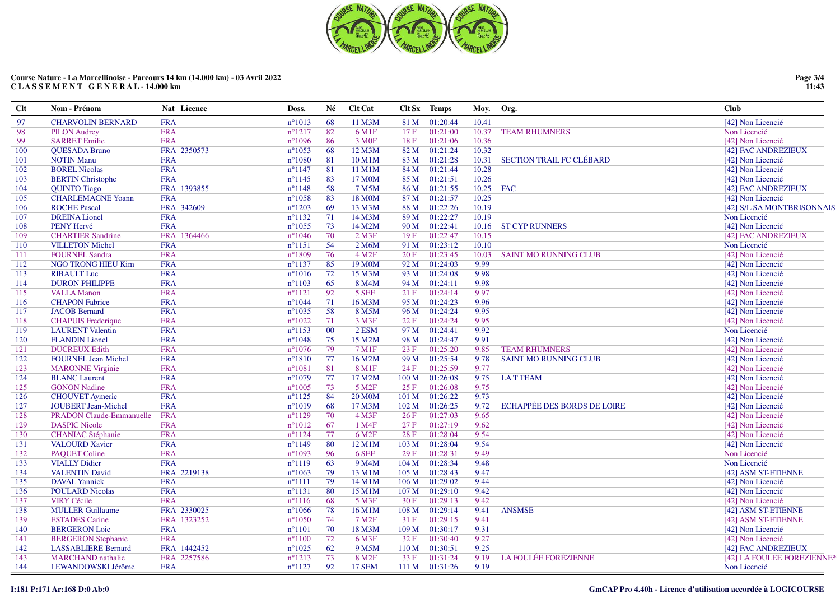

| Clt | Nom - Prénom                    | Nat Licence | Doss.           | Né | <b>Clt Cat</b>       |                  | Clt Sx Temps | Moy.  | Org.                               | <b>Club</b>                |
|-----|---------------------------------|-------------|-----------------|----|----------------------|------------------|--------------|-------|------------------------------------|----------------------------|
| 97  | <b>CHARVOLIN BERNARD</b>        | <b>FRA</b>  | $n^{\circ}1013$ | 68 | 11 M3M               | 81 M             | 01:20:44     | 10.41 |                                    | [42] Non Licencié          |
| 98  | <b>PILON Audrey</b>             | <b>FRA</b>  | $n^{\circ}1217$ | 82 | 6 M1F                | 17F              | 01:21:00     | 10.37 | <b>TEAM RHUMNERS</b>               | Non Licencié               |
| 99  | <b>SARRET Emilie</b>            | <b>FRA</b>  | $n^{\circ}1096$ | 86 | 3 M <sub>OF</sub>    | 18F              | 01:21:06     | 10.36 |                                    | [42] Non Licencié          |
| 100 | <b>QUESADA Bruno</b>            | FRA 2350573 | $n^{\circ}1053$ | 68 | 12 M3M               | 82 M             | 01:21:24     | 10.32 |                                    | [42] FAC ANDREZIEUX        |
| 101 | <b>NOTIN Manu</b>               | <b>FRA</b>  | $n^{\circ}1080$ | 81 | 10 M1M               | 83 M             | 01:21:28     | 10.31 | <b>SECTION TRAIL FC CLÉBARD</b>    | [42] Non Licencié          |
| 102 | <b>BOREL Nicolas</b>            | <b>FRA</b>  | $n^{\circ}1147$ | 81 | 11 M1M               | 84 M             | 01:21:44     | 10.28 |                                    | [42] Non Licencié          |
| 103 | <b>BERTIN</b> Christophe        | <b>FRA</b>  | $n^{\circ}1145$ | 83 | 17 M0M               | 85 M             | 01:21:51     | 10.26 |                                    | [42] Non Licencié          |
| 104 | <b>QUINTO Tiago</b>             | FRA 1393855 | $n^{\circ}1148$ | 58 | 7 M5M                | 86 M             | 01:21:55     | 10.25 | <b>FAC</b>                         | [42] FAC ANDREZIEUX        |
| 105 | <b>CHARLEMAGNE Yoann</b>        | <b>FRA</b>  | $n^{\circ}1058$ | 83 | 18 M0M               | 87 M             | 01:21:57     | 10.25 |                                    | [42] Non Licencié          |
| 106 | <b>ROCHE Pascal</b>             | FRA 342609  | $n^{\circ}1203$ | 69 | 13 M3M               | 88 M             | 01:22:26     | 10.19 |                                    | [42] S/L SA MONTBRISONNAIS |
| 107 | <b>DREINA Lionel</b>            | <b>FRA</b>  | $n^{\circ}1132$ | 71 | 14 M3M               | 89 M             | 01:22:27     | 10.19 |                                    | Non Licencié               |
| 108 | PENY Hervé                      | <b>FRA</b>  | $n^{\circ}1055$ | 73 | 14 M2M               | 90 M             | 01:22:41     | 10.16 | <b>ST CYP RUNNERS</b>              | [42] Non Licencié          |
| 109 | <b>CHARTIER Sandrine</b>        | FRA 1364466 | $n^{\circ}1046$ | 70 | $2$ M <sub>3</sub> F | 19F              | 01:22:47     | 10.15 |                                    | [42] FAC ANDREZIEUX        |
| 110 | <b>VILLETON Michel</b>          | <b>FRA</b>  | $n^{\circ}1151$ | 54 | 2 M6M                | 91 M             | 01:23:12     | 10.10 |                                    | Non Licencié               |
| 111 | <b>FOURNEL Sandra</b>           | <b>FRA</b>  | $n^{\circ}1809$ | 76 | 4 M2F                | 20 F             | 01:23:45     | 10.03 | <b>SAINT MO RUNNING CLUB</b>       | [42] Non Licencié          |
| 112 | NGO TRONG HIEU Kim              | <b>FRA</b>  | $n^{\circ}1137$ | 85 | 19 M0M               | 92 M             | 01:24:03     | 9.99  |                                    | [42] Non Licencié          |
| 113 | <b>RIBAULT Luc</b>              | <b>FRA</b>  | $n^{\circ}1016$ | 72 | 15 M3M               | 93 M             | 01:24:08     | 9.98  |                                    | [42] Non Licencié          |
| 114 | <b>DURON PHILIPPE</b>           | <b>FRA</b>  | $n^{\circ}1103$ | 65 | 8 M4M                | 94 M             | 01:24:11     | 9.98  |                                    | [42] Non Licencié          |
| 115 | <b>VALLA Manon</b>              | <b>FRA</b>  | $n^{\circ}1121$ | 92 | 5 SEF                | 21 F             | 01:24:14     | 9.97  |                                    | [42] Non Licencié          |
| 116 | <b>CHAPON Fabrice</b>           | <b>FRA</b>  | $n^{\circ}1044$ | 71 | 16 M3M               | 95 M             | 01:24:23     | 9.96  |                                    | [42] Non Licencié          |
| 117 | <b>JACOB</b> Bernard            | <b>FRA</b>  | $n^{\circ}1035$ | 58 | 8 M5M                | 96 M             | 01:24:24     | 9.95  |                                    | [42] Non Licencié          |
| 118 | <b>CHAPUIS</b> Frederique       | <b>FRA</b>  | $n^{\circ}1022$ | 71 | 3 M3F                | 22 F             | 01:24:24     | 9.95  |                                    | [42] Non Licencié          |
| 119 | <b>LAURENT</b> Valentin         | <b>FRA</b>  | $n^{\circ}1153$ | 00 | 2 ESM                | 97 M             | 01:24:41     | 9.92  |                                    | Non Licencié               |
| 120 | <b>FLANDIN</b> Lionel           | <b>FRA</b>  | $n^{\circ}1048$ | 75 | 15 M2M               | 98 M             | 01:24:47     | 9.91  |                                    | [42] Non Licencié          |
| 121 | <b>DUCREUX Edith</b>            | <b>FRA</b>  | $n^{\circ}1076$ | 79 | 7 M1F                | 23 F             | 01:25:20     | 9.85  | <b>TEAM RHUMNERS</b>               | [42] Non Licencié          |
| 122 | <b>FOURNEL Jean Michel</b>      | <b>FRA</b>  | $n^{\circ}1810$ | 77 | 16 M2M               | 99 M             | 01:25:54     | 9.78  | <b>SAINT MO RUNNING CLUB</b>       | [42] Non Licencié          |
| 123 | <b>MARONNE Virginie</b>         | <b>FRA</b>  | $n^{\circ}1081$ | 81 | 8 M1F                | 24 F             | 01:25:59     | 9.77  |                                    | [42] Non Licencié          |
| 124 | <b>BLANC</b> Laurent            | <b>FRA</b>  | $n^{\circ}1079$ | 77 | 17 M2M               | 100 M            | 01:26:08     | 9.75  | <b>LATTEAM</b>                     | [42] Non Licencié          |
| 125 | <b>GONON Nadine</b>             | <b>FRA</b>  | $n^{\circ}1005$ | 73 | 5 M <sub>2F</sub>    | 25 F             | 01:26:08     | 9.75  |                                    | [42] Non Licencié          |
| 126 | <b>CHOUVET</b> Aymeric          | <b>FRA</b>  | $n^{\circ}1125$ | 84 | <b>20 M0M</b>        | 101 M            | 01:26:22     | 9.73  |                                    | [42] Non Licencié          |
| 127 | <b>JOUBERT Jean-Michel</b>      | <b>FRA</b>  | $n^{\circ}1019$ | 68 | 17 M3M               | 102 M            | 01:26:25     | 9.72  | <b>ECHAPPÉE DES BORDS DE LOIRE</b> | [42] Non Licencié          |
| 128 | <b>PRADON Claude-Emmanuelle</b> | <b>FRA</b>  | $n^{\circ}1129$ | 70 | $4$ M3F              | 26 F             | 01:27:03     | 9.65  |                                    | [42] Non Licencié          |
| 129 | <b>DASPIC Nicole</b>            | <b>FRA</b>  | $n^{\circ}1012$ | 67 | 1 M4F                | 27F              | 01:27:19     | 9.62  |                                    | [42] Non Licencié          |
| 130 | <b>CHANIAC</b> Stéphanie        | <b>FRA</b>  | $n^{\circ}1124$ | 77 | 6 M <sub>2F</sub>    | 28F              | 01:28:04     | 9.54  |                                    | [42] Non Licencié          |
| 131 | <b>VALOURD Xavier</b>           | <b>FRA</b>  | $n^{\circ}1149$ | 80 | 12 M1M               | 103 M            | 01:28:04     | 9.54  |                                    | [42] Non Licencié          |
| 132 | <b>PAQUET Coline</b>            | <b>FRA</b>  | $n^{\circ}1093$ | 96 | 6 SEF                | 29F              | 01:28:31     | 9.49  |                                    | Non Licencié               |
| 133 | <b>VIALLY Didier</b>            | <b>FRA</b>  | $n^{\circ}1119$ | 63 | 9 M <sub>4</sub> M   | 104 M            | 01:28:34     | 9.48  |                                    | Non Licencié               |
| 134 | <b>VALENTIN David</b>           | FRA 2219138 | $n^{\circ}1063$ | 79 | 13 M1M               | 105 <sub>M</sub> | 01:28:43     | 9.47  |                                    | [42] ASM ST-ETIENNE        |
| 135 | <b>DAVAL</b> Yannick            | <b>FRA</b>  | $n^{\circ}1111$ | 79 | 14 M1M               | 106 <sub>M</sub> | 01:29:02     | 9.44  |                                    | [42] Non Licencié          |
| 136 | <b>POULARD Nicolas</b>          | <b>FRA</b>  | $n^{\circ}1131$ | 80 | 15 M1M               | 107 M            | 01:29:10     | 9.42  |                                    | [42] Non Licencié          |
| 137 | <b>VIRY Cécile</b>              | <b>FRA</b>  | $n^{\circ}1116$ | 68 | 5 M3F                | 30F              | 01:29:13     | 9.42  |                                    | [42] Non Licencié          |
| 138 | <b>MULLER Guillaume</b>         | FRA 2330025 | $n^{\circ}1066$ | 78 | 16 M1M               | 108 M            | 01:29:14     | 9.41  | <b>ANSMSE</b>                      | [42] ASM ST-ETIENNE        |
| 139 | <b>ESTADES</b> Carine           | FRA 1323252 | $n^{\circ}1050$ | 74 | 7 M <sub>2F</sub>    | 31F              | 01:29:15     | 9.41  |                                    | [42] ASM ST-ETIENNE        |
| 140 | <b>BERGERON</b> Loic            | <b>FRA</b>  | $n^{\circ}1101$ | 70 | 18 M3M               | 109 <sub>M</sub> | 01:30:17     | 9.31  |                                    | [42] Non Licencié          |
| 141 | <b>BERGERON Stephanie</b>       | <b>FRA</b>  | $n^{\circ}1100$ | 72 | 6 M3F                | 32 F             | 01:30:40     | 9.27  |                                    | [42] Non Licencié          |
| 142 | <b>LASSABLIERE Bernard</b>      | FRA 1442452 | $n^{\circ}1025$ | 62 | 9 M5M                | 110 M            | 01:30:51     | 9.25  |                                    | [42] FAC ANDREZIEUX        |
| 143 | <b>MARCHAND</b> nathalie        | FRA 2257586 | $n^{\circ}1213$ | 73 | 8 M <sub>2F</sub>    | 33 F             | 01:31:24     | 9.19  | <b>LA FOULÉE FORÉZIENNE</b>        | [42] LA FOULEE FOREZIENNE* |
| 144 | LEWANDOWSKI Jérôme              | <b>FRA</b>  | $n^{\circ}1127$ | 92 | 17 SEM               | 111 M            | 01:31:26     | 9.19  |                                    | Non Licencié               |

**Page 3/4 11:43**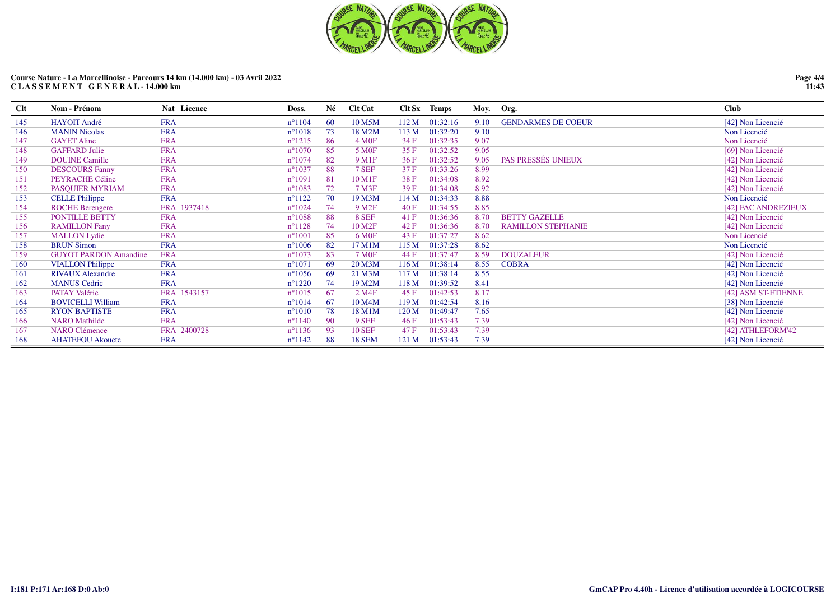

| Clt | Nom - Prénom                 | Nat Licence | Doss.           | Né  | <b>Clt Cat</b>     |                  | Clt Sx Temps |      | Moy. Org.                 | <b>Club</b>         |
|-----|------------------------------|-------------|-----------------|-----|--------------------|------------------|--------------|------|---------------------------|---------------------|
| 145 | <b>HAYOIT André</b>          | <b>FRA</b>  | $n^{\circ}1104$ | 60  | 10 M5M             | 112 M            | 01:32:16     | 9.10 | <b>GENDARMES DE COEUR</b> | [42] Non Licencié   |
| 146 | <b>MANIN Nicolas</b>         | <b>FRA</b>  | $n^{\circ}1018$ | 73  | 18 M2M             | 113 M            | 01:32:20     | 9.10 |                           | Non Licencié        |
| 147 | <b>GAYET Aline</b>           | <b>FRA</b>  | $n^{\circ}1215$ | 86  | $4 \text{ M0F}$    | 34 F             | 01:32:35     | 9.07 |                           | Non Licencié        |
| 148 | <b>GAFFARD Julie</b>         | <b>FRA</b>  | $n^{\circ}1070$ | 85  | 5 M <sub>OF</sub>  | 35F              | 01:32:52     | 9.05 |                           | [69] Non Licencié   |
| 149 | <b>DOUINE Camille</b>        | <b>FRA</b>  | $n^{\circ}1074$ | 82  | 9 M1F              | 36F              | 01:32:52     | 9.05 | PAS PRESSÉS UNIEUX        | [42] Non Licencié   |
| 150 | <b>DESCOURS Fanny</b>        | <b>FRA</b>  | $n^{\circ}1037$ | 88  | 7 SEF              | 37 F             | 01:33:26     | 8.99 |                           | [42] Non Licencié   |
| 151 | PEYRACHE Céline              | <b>FRA</b>  | $n^{\circ}1091$ | 81  | 10 M1F             | 38F              | 01:34:08     | 8.92 |                           | [42] Non Licencié   |
| 152 | PASQUIER MYRIAM              | <b>FRA</b>  | $n^{\circ}1083$ | 72  | 7 M3F              | 39F              | 01:34:08     | 8.92 |                           | [42] Non Licencié   |
| 153 | <b>CELLE Philippe</b>        | <b>FRA</b>  | $n^{\circ}1122$ | 70  | 19 M3M             | 114 M            | 01:34:33     | 8.88 |                           | Non Licencié        |
| 154 | <b>ROCHE</b> Berengere       | FRA 1937418 | $n^{\circ}1024$ | 74  | 9 M <sub>2F</sub>  | 40 F             | 01:34:55     | 8.85 |                           | [42] FAC ANDREZIEUX |
| 155 | PONTILLE BETTY               | <b>FRA</b>  | $n^{\circ}1088$ | 88  | 8 SEF              | 41 F             | 01:36:36     | 8.70 | <b>BETTY GAZELLE</b>      | [42] Non Licencié   |
| 156 | <b>RAMILLON Fany</b>         | <b>FRA</b>  | $n^{\circ}1128$ | 74  | 10 M <sub>2F</sub> | 42 F             | 01:36:36     | 8.70 | <b>RAMILLON STEPHANIE</b> | [42] Non Licencié   |
| 157 | <b>MALLON Lydie</b>          | <b>FRA</b>  | $n^{\circ}1001$ | 85  | 6 M <sub>OF</sub>  | 43 F             | 01:37:27     | 8.62 |                           | Non Licencié        |
| 158 | <b>BRUN Simon</b>            | <b>FRA</b>  | $n^{\circ}1006$ | 82  | 17 M1M             | 115 M            | 01:37:28     | 8.62 |                           | Non Licencié        |
| 159 | <b>GUYOT PARDON Amandine</b> | <b>FRA</b>  | $n^{\circ}1073$ | 83  | 7 M <sub>OF</sub>  | 44 F             | 01:37:47     | 8.59 | <b>DOUZALEUR</b>          | [42] Non Licencié   |
| 160 | <b>VIALLON Philippe</b>      | <b>FRA</b>  | $n^{\circ}1071$ | -69 | 20 M3M             | 116M             | 01:38:14     | 8.55 | <b>COBRA</b>              | [42] Non Licencié   |
| 161 | <b>RIVAUX Alexandre</b>      | <b>FRA</b>  | $n^{\circ}1056$ | -69 | 21 M3M             | 117 M            | 01:38:14     | 8.55 |                           | [42] Non Licencié   |
| 162 | <b>MANUS Cedric</b>          | <b>FRA</b>  | $n^{\circ}1220$ | 74  | 19 M2M             | 118 M            | 01:39:52     | 8.41 |                           | [42] Non Licencié   |
| 163 | <b>PATAY Valérie</b>         | FRA 1543157 | $n^{\circ}1015$ | 67  | 2 M4F              | 45 F             | 01:42:53     | 8.17 |                           | [42] ASM ST-ETIENNE |
| 164 | <b>BOVICELLI William</b>     | <b>FRA</b>  | $n^{\circ}1014$ | 67  | 10 M4M             | 119 <sub>M</sub> | 01:42:54     | 8.16 |                           | [38] Non Licencié   |
| 165 | <b>RYON BAPTISTE</b>         | <b>FRA</b>  | $n^{\circ}1010$ | 78  | 18 M1M             | 120 M            | 01:49:47     | 7.65 |                           | [42] Non Licencié   |
| 166 | <b>NARO</b> Mathilde         | <b>FRA</b>  | $n^{\circ}1140$ | 90  | 9 SEF              | 46F              | 01:53:43     | 7.39 |                           | [42] Non Licencié   |
| 167 | <b>NARO Clémence</b>         | FRA 2400728 | $n^{\circ}1136$ | 93  | <b>10 SEF</b>      | 47 F             | 01:53:43     | 7.39 |                           | [42] ATHLEFORM'42   |
| 168 | <b>AHATEFOU Akouete</b>      | <b>FRA</b>  | $n^{\circ}1142$ | 88  | <b>18 SEM</b>      | 121 M            | 01:53:43     | 7.39 |                           | [42] Non Licencié   |

**Page 4/4 11:43**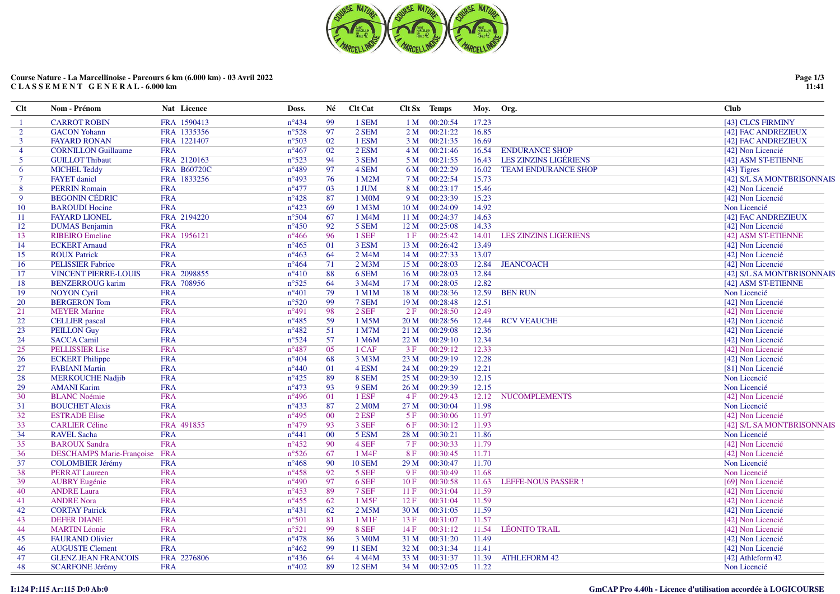

| $Cl$           | Nom - Prénom                     | Nat Licence        | Doss.          | Né     | <b>Clt Cat</b>     |                 | Clt Sx Temps  | Moy. Org. |                              | <b>Club</b>                |
|----------------|----------------------------------|--------------------|----------------|--------|--------------------|-----------------|---------------|-----------|------------------------------|----------------------------|
| -1             | <b>CARROT ROBIN</b>              | FRA 1590413        | $n^{\circ}434$ | 99     | 1 SEM              | 1 <sub>M</sub>  | 00:20:54      | 17.23     |                              | [43] CLCS FIRMINY          |
| $\overline{2}$ | <b>GACON</b> Yohann              | FRA 1335356        | $n^{\circ}528$ | 97     | 2 SEM              | 2 M             | 00:21:22      | 16.85     |                              | [42] FAC ANDREZIEUX        |
| 3              | <b>FAYARD RONAN</b>              | FRA 1221407        | $n^{\circ}503$ | 02     | 1 ESM              | 3 M             | 00:21:35      | 16.69     |                              | [42] FAC ANDREZIEUX        |
| 4              | <b>CORNILLON Guillaume</b>       | <b>FRA</b>         | $n^{\circ}467$ | 02     | 2 ESM              |                 | 4 M 00:21:46  | 16.54     | <b>ENDURANCE SHOP</b>        | [42] Non Licencié          |
| 5              | <b>GUILLOT Thibaut</b>           | FRA 2120163        | $n^{\circ}523$ | 94     | 3 SEM              | 5 M             | 00:21:55      | 16.43     | LES ZINZINS LIGÉRIENS        | [42] ASM ST-ETIENNE        |
| 6              | <b>MICHEL Teddy</b>              | <b>FRA B60720C</b> | $n^{\circ}489$ | 97     | 4 SEM              |                 | 6 M 00:22:29  | 16.02     | <b>TEAM ENDURANCE SHOP</b>   | $[43]$ Tigres              |
| $\tau$         | <b>FAYET</b> daniel              | FRA 1833256        | $n^{\circ}493$ | 76     | 1 M2M              | 7 M             | 00:22:54      | 15.73     |                              | [42] S/L SA MONTBRISONNAIS |
| 8              | <b>PERRIN Romain</b>             | <b>FRA</b>         | $n^{\circ}477$ | 03     | 1 JUM              |                 | 8 M 00:23:17  | 15.46     |                              | [42] Non Licencié          |
| 9              | <b>BEGONIN CÉDRIC</b>            | <b>FRA</b>         | $n^{\circ}428$ | 87     | 1 M0M              | 9 M             | 00:23:39      | 15.23     |                              | [42] Non Licencié          |
| 10             | <b>BAROUDI Hocine</b>            | <b>FRA</b>         | $n^{\circ}423$ | 69     | 1 M3M              | 10 M            | 00:24:09      | 14.92     |                              | Non Licencié               |
| 11             | <b>FAYARD LIONEL</b>             | FRA 2194220        | $n^{\circ}504$ | 67     | 1 M4M              | 11 M            | 00:24:37      | 14.63     |                              | [42] FAC ANDREZIEUX        |
| 12             | <b>DUMAS</b> Benjamin            | <b>FRA</b>         | $n^{\circ}450$ | 92     | 5 SEM              | 12M             | 00:25:08      | 14.33     |                              | [42] Non Licencié          |
| 13             | <b>RIBEIRO</b> Emeline           | FRA 1956121        | $n^{\circ}466$ | 96     | 1 SEF              | 1F              | 00:25:42      | 14.01     | <b>LES ZINZINS LIGERIENS</b> | [42] ASM ST-ETIENNE        |
| 14             | <b>ECKERT</b> Arnaud             | <b>FRA</b>         | $n^{\circ}465$ | 01     | 3 ESM              | 13 <sub>M</sub> | 00:26:42      | 13.49     |                              | [42] Non Licencié          |
| 15             | <b>ROUX Patrick</b>              | <b>FRA</b>         | $n^{\circ}463$ | 64     | 2 M4M              | 14M             | 00:27:33      | 13.07     |                              | [42] Non Licencié          |
| 16             | <b>PELISSIER Fabrice</b>         | <b>FRA</b>         | $n^{\circ}464$ | 71     | $2$ M $3$ M        | 15 <sub>M</sub> | 00:28:03      | 12.84     | <b>JEANCOACH</b>             | [42] Non Licencié          |
| 17             | <b>VINCENT PIERRE-LOUIS</b>      | FRA 2098855        | $n^{\circ}410$ | 88     | 6 SEM              | 16M             | 00:28:03      | 12.84     |                              | [42] S/L SA MONTBRISONNAIS |
| 18             | <b>BENZERROUG</b> karim          | FRA 708956         | $n^{\circ}525$ | 64     | 3 M4M              | 17 <sub>M</sub> | 00:28:05      | 12.82     |                              | [42] ASM ST-ETIENNE        |
| 19             | <b>NOYON Cyril</b>               | <b>FRA</b>         | $n^{\circ}401$ | 79     | 1 M1M              | 18 <sub>M</sub> | 00:28:36      | 12.59     | <b>BEN RUN</b>               | Non Licencié               |
| 20             | <b>BERGERON</b> Tom              | <b>FRA</b>         | $n^{\circ}520$ | -99    | 7 SEM              | 19 <sub>M</sub> | 00:28:48      | 12.51     |                              | [42] Non Licencié          |
| 21             | <b>MEYER Marine</b>              | <b>FRA</b>         | $n^{\circ}491$ | 98     | 2 SEF              | 2F              | 00:28:50      | 12.49     |                              | [42] Non Licencié          |
| 22             | <b>CELLIER</b> pascal            | <b>FRA</b>         | $n^{\circ}485$ | 59     | 1 M5M              | 20 M            | 00:28:56      | 12.44     | <b>RCV VEAUCHE</b>           | [42] Non Licencié          |
| 23             | <b>PEILLON Guy</b>               | <b>FRA</b>         | $n^{\circ}482$ | 51     | 1 M7M              | 21 M            | 00:29:08      | 12.36     |                              | [42] Non Licencié          |
| 24             | <b>SACCA Camil</b>               | <b>FRA</b>         | $n^{\circ}524$ | 57     | 1 M6M              | 22 M            | 00:29:10      | 12.34     |                              | [42] Non Licencié          |
| 25             | <b>PELLISSIER Lise</b>           | <b>FRA</b>         | $n^{\circ}487$ | 05     | 1 CAF              | 3F              | 00:29:12      | 12.33     |                              | [42] Non Licencié          |
| 26             | <b>ECKERT</b> Philippe           | <b>FRA</b>         | $n^{\circ}404$ | 68     | 3 M3M              | 23 M            | 00:29:19      | 12.28     |                              | [42] Non Licencié          |
| 27             | <b>FABIANI Martin</b>            | <b>FRA</b>         | $n^{\circ}440$ | 01     | 4 ESM              | 24 M            | 00:29:29      | 12.21     |                              | [81] Non Licencié          |
| 28             | <b>MERKOUCHE Nadjib</b>          | <b>FRA</b>         | $n^{\circ}425$ | 89     | 8 SEM              | 25 M            | 00:29:39      | 12.15     |                              | Non Licencié               |
| 29             | <b>AMANI Karim</b>               | <b>FRA</b>         | $n^{\circ}473$ | 93     | 9 SEM              | 26 M            | 00:29:39      | 12.15     |                              | Non Licencié               |
| 30             | <b>BLANC</b> Noémie              | <b>FRA</b>         | $n^{\circ}496$ | 01     | 1 ESF              | 4F              | 00:29:43      | 12.12     | <b>NUCOMPLEMENTS</b>         | [42] Non Licencié          |
| 31             | <b>BOUCHET Alexis</b>            | <b>FRA</b>         | $n^{\circ}433$ | 87     | 2 M <sub>0</sub> M | 27 M            | 00:30:04      | 11.98     |                              | Non Licencié               |
| 32             | <b>ESTRADE Elise</b>             | <b>FRA</b>         | $n^{\circ}495$ | $00\,$ | 2 ESF              | 5F              | 00:30:06      | 11.97     |                              | [42] Non Licencié          |
| 33             | <b>CARLIER Céline</b>            | FRA 491855         | $n^{\circ}479$ | 93     | 3 SEF              | 6F              | 00:30:12      | 11.93     |                              | [42] S/L SA MONTBRISONNAIS |
| 34             | <b>RAVEL Sacha</b>               | <b>FRA</b>         | $n^{\circ}441$ | $00\,$ | 5 ESM              | 28 M            | 00:30:21      | 11.86     |                              | Non Licencié               |
| 35             | <b>BAROUX Sandra</b>             | <b>FRA</b>         | $n^{\circ}452$ | 90     | 4 SEF              | 7F              | 00:30:33      | 11.79     |                              | [42] Non Licencié          |
| 36             | <b>DESCHAMPS Marie-Françoise</b> | <b>FRA</b>         | $n^{\circ}526$ | 67     | 1 M4F              | 8F              | 00:30:45      | 11.71     |                              | [42] Non Licencié          |
| 37             | <b>COLOMBIER Jérémy</b>          | <b>FRA</b>         | $n^{\circ}468$ | 90     | <b>10 SEM</b>      | 29 M            | 00:30:47      | 11.70     |                              | Non Licencié               |
| 38             | <b>PERRAT Laureen</b>            | <b>FRA</b>         | $n^{\circ}458$ | 92     | 5 SEF              | 9F              | 00:30:49      | 11.68     |                              | Non Licencié               |
| 39             | <b>AUBRY Eugénie</b>             | <b>FRA</b>         | $n^{\circ}490$ | 97     | 6 SEF              | 10F             | 00:30:58      | 11.63     | <b>LEFFE-NOUS PASSER!</b>    | [69] Non Licencié          |
| 40             | <b>ANDRE Laura</b>               | <b>FRA</b>         | $n^{\circ}453$ | 89     | 7 SEF              | 11F             | 00:31:04      | 11.59     |                              | [42] Non Licencié          |
| 41             | <b>ANDRE Nora</b>                | <b>FRA</b>         | $n^{\circ}455$ | 62     | 1 M <sub>5F</sub>  | 12F             | 00:31:04      | 11.59     |                              | [42] Non Licencié          |
| 42             | <b>CORTAY Patrick</b>            | <b>FRA</b>         | $n^{\circ}431$ | 62     | 2 M5M              | 30 M            | 00:31:05      | 11.59     |                              | [42] Non Licencié          |
| 43             | <b>DEFER DIANE</b>               | <b>FRA</b>         | $n^{\circ}501$ | 81     | $1$ M $1$ F        | 13F             | 00:31:07      | 11.57     |                              | [42] Non Licencié          |
| 44             | <b>MARTIN Léonie</b>             | <b>FRA</b>         | $n^{\circ}521$ | 99     | 8 SEF              | 14F             | 00:31:12      | 11.54     | <b>LÉONITO TRAIL</b>         | [42] Non Licencié          |
| 45             | <b>FAURAND Olivier</b>           | <b>FRA</b>         | $n^{\circ}478$ | 86     | 3 M0M              | 31 M            | 00:31:20      | 11.49     |                              | [42] Non Licencié          |
| 46             | <b>AUGUSTE Clement</b>           | <b>FRA</b>         | $n^{\circ}462$ | -99    | <b>11 SEM</b>      | 32 M            | 00:31:34      | 11.41     |                              | [42] Non Licencié          |
| 47             | <b>GLENZ JEAN FRANCOIS</b>       | FRA 2276806        | $n^{\circ}436$ | 64     | 4 M4M              | 33 M            | 00:31:37      | 11.39     | <b>ATHLEFORM 42</b>          | [42] Athleform'42          |
| 48             | <b>SCARFONE Jérémy</b>           | <b>FRA</b>         | $n^{\circ}402$ | 89     | <b>12 SEM</b>      |                 | 34 M 00:32:05 | 11.22     |                              | Non Licencié               |
|                |                                  |                    |                |        |                    |                 |               |           |                              |                            |

**Page 1/3 11:41**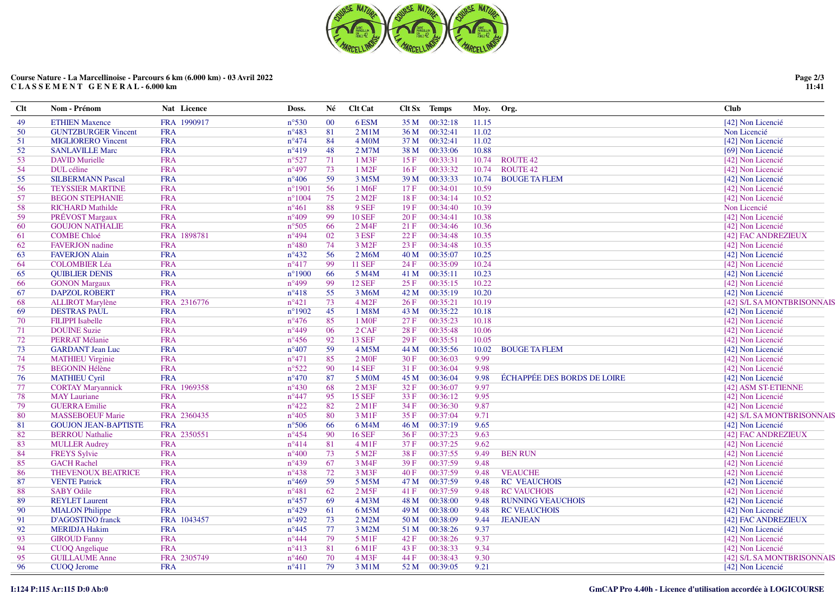

| FRA 1990917<br>00:32:18<br><b>ETHIEN Maxence</b><br>$n^{\circ}530$<br>00<br>6ESM<br>35 M<br>11.15<br>49<br>[42] Non Licencié<br><b>GUNTZBURGER Vincent</b><br>00:32:41<br>50<br><b>FRA</b><br>$n^{\circ}483$<br>81<br>2 M1M<br>36 M<br>11.02<br>Non Licencié<br><b>MIGLIORERO Vincent</b><br><b>FRA</b><br>$n^{\circ}474$<br>84<br>4 M <sub>O</sub> M<br>37 M<br>00:32:41<br>11.02<br>51<br>[42] Non Licencié<br><b>FRA</b><br>$n^{\circ}419$<br>48<br>00:33:06<br>10.88<br>[69] Non Licencié<br>52<br><b>SANLAVILLE Marc</b><br>2 M7M<br>38 M<br><b>FRA</b><br>00:33:31<br>53<br><b>DAVID Murielle</b><br>$n^{\circ}527$<br>71<br>1 M3F<br>15F<br>10.74<br><b>ROUTE 42</b><br>[42] Non Licencié<br>DUL céline<br><b>FRA</b><br>73<br>00:33:32<br>10.74<br><b>ROUTE 42</b><br>54<br>$n^{\circ}497$<br>1 M <sub>2</sub> F<br>16F<br>[42] Non Licencié<br><b>FRA</b><br>$n^{\circ}406$<br>59<br>00:33:33<br>10.74<br><b>BOUGE TA FLEM</b><br>55<br><b>SILBERMANN Pascal</b><br>3 M5M<br>39 M<br>[42] Non Licencié<br><b>FRA</b><br>56<br>00:34:01<br>10.59<br>56<br><b>TEYSSIER MARTINE</b><br>$n^{\circ}1901$<br>1 M <sub>6F</sub><br>17F<br>[42] Non Licencié<br>75<br>57<br><b>FRA</b><br>$2$ M <sub>2</sub> $F$<br>18F<br>00:34:14<br>10.52<br>[42] Non Licencié<br><b>BEGON STEPHANIE</b><br>$n^{\circ}1004$<br>88<br><b>FRA</b><br>00:34:40<br>10.39<br>58<br><b>RICHARD Mathilde</b><br>$n^{\circ}461$<br>9 SEF<br>19F<br>Non Licencié<br>PRÉVOST Margaux<br><b>FRA</b><br>99<br>00:34:41<br>10.38<br>59<br>$n^{\circ}409$<br><b>10 SEF</b><br>20F<br>[42] Non Licencié<br><b>GOUJON NATHALIE</b><br><b>FRA</b><br>66<br>00:34:46<br>10.36<br>60<br>$n^{\circ}505$<br>2 M4F<br>21F<br>[42] Non Licencié<br>FRA 1898781<br><b>COMBE Chloé</b><br>$n^{\circ}494$<br>02<br>3 ESF<br>22F<br>00:34:48<br>10.35<br>[42] FAC ANDREZIEUX<br>61<br>74<br>00:34:48<br>10.35<br>FAVERJON nadine<br><b>FRA</b><br>$n^{\circ}480$<br>3 M <sub>2F</sub><br>23F<br>[42] Non Licencié<br>62<br><b>FRA</b><br>56<br>00:35:07<br><b>FAVERJON Alain</b><br>$n^{\circ}432$<br>2 M6M<br>10.25<br>[42] Non Licencié<br>63<br>40 M<br><b>FRA</b><br>99<br>00:35:09<br>10.24<br><b>COLOMBIER Léa</b><br>$n^{\circ}417$<br><b>11 SEF</b><br>24 F<br>[42] Non Licencié<br>64<br><b>FRA</b><br><b>QUIBLIER DENIS</b><br>$n^{\circ}$ 1900<br>66<br>5 M4M<br>00:35:11<br>10.23<br>65<br>41 M<br>[42] Non Licencié<br>99<br>00:35:15<br>10.22<br><b>GONON Margaux</b><br><b>FRA</b><br>$n^{\circ}499$<br><b>12 SEF</b><br>25F<br>[42] Non Licencié<br>66<br>55<br><b>FRA</b><br>$n^{\circ}418$<br>3 M6M<br>42 M<br>00:35:19<br>10.20<br>67<br><b>DAPZOL ROBERT</b><br>[42] Non Licencié<br>73<br>00:35:21<br>10.19<br><b>ALLIROT Marylène</b><br>FRA 2316776<br>$n^{\circ}421$<br>4 M2F<br>26F<br>[42] S/L SA MONTBRISONNAIS<br>68<br>45<br><b>DESTRAS PAUL</b><br><b>FRA</b><br>$n^{\circ}1902$<br>00:35:22<br>10.18<br>69<br>1 M8M<br>43 M<br>[42] Non Licencié<br>85<br>00:35:23<br><b>FILIPPI</b> Isabelle<br><b>FRA</b><br>27F<br>10.18<br>[42] Non Licencié<br>70<br>$n^{\circ}476$<br>1 M <sub>OF</sub><br><b>FRA</b><br>06<br>10.06<br><b>DOUINE Suzie</b><br>$n^{\circ}449$<br>$2$ CAF<br>28F<br>00:35:48<br>[42] Non Licencié<br>71<br>92<br><b>FRA</b><br>$n^{\circ}456$<br><b>13 SEF</b><br>00:35:51<br>10.05<br>72<br>PERRAT Mélanie<br>29F<br>[42] Non Licencié<br><b>FRA</b><br>59<br>00:35:56<br>10.02<br>73<br><b>GARDANT Jean Luc</b><br>$n^{\circ}407$<br>4 M5M<br>44 M<br><b>BOUGE TA FLEM</b><br>[42] Non Licencié<br><b>FRA</b><br>85<br>00:36:03<br>9.99<br>74<br><b>MATHIEU Virginie</b><br>$n^{\circ}471$<br>2 M0F<br>30F<br>[42] Non Licencié<br><b>FRA</b><br>90<br>75<br><b>BEGONIN Hélène</b><br>$n^{\circ}522$<br><b>14 SEF</b><br>31 F<br>00:36:04<br>9.98<br>[42] Non Licencié<br>87<br><b>FRA</b><br>$n^{\circ}470$<br>00:36:04<br><b>ÉCHAPPÉE DES BORDS DE LOIRE</b><br>76<br><b>MATHIEU Cyril</b><br>5 M0M<br>45 M<br>9.98<br>[42] Non Licencié<br>FRA 1969358<br>68<br>00:36:07<br>77<br><b>CORTAY Maryannick</b><br>$n^{\circ}430$<br>$2$ M3F<br>32 F<br>9.97<br>[42] ASM ST-ETIENNE<br>95<br><b>15 SEF</b><br>33 F<br>00:36:12<br>9.95<br>78<br><b>MAY Lauriane</b><br><b>FRA</b><br>$n^{\circ}447$<br>[42] Non Licencié<br>82<br>00:36:30<br>79<br><b>GUERRA Emilie</b><br><b>FRA</b><br>$n^{\circ}422$<br>$2$ M1F<br>34 F<br>9.87<br>[42] Non Licencié<br>80<br>00:37:04<br>80<br><b>MASSEBOEUF Marie</b><br>FRA 2360435<br>$n^{\circ}405$<br>3 MHz<br>35F<br>9.71<br>[42] S/L SA MONTBRISONNAIS<br>66<br><b>GOUJON JEAN-BAPTISTE</b><br><b>FRA</b><br>$n^{\circ}506$<br>6 M4M<br>00:37:19<br>9.65<br>[42] Non Licencié<br>81<br>46 M<br><b>BERROU Nathalie</b><br>FRA 2350551<br>90<br>00:37:23<br>9.63<br>[42] FAC ANDREZIEUX<br>82<br>$n^{\circ}454$<br><b>16 SEF</b><br>36F<br><b>FRA</b><br>$n^{\circ}414$<br>81<br>37 F<br>00:37:25<br>9.62<br>[42] Non Licencié<br>83<br><b>MULLER Audrey</b><br>$4 \,\mathrm{M1F}$<br><b>FRA</b><br>$n^{\circ}400$<br>73<br>$5$ M <sub>2</sub> $F$<br>38F<br>00:37:55<br>9.49<br><b>BEN RUN</b><br>[42] Non Licencié<br>84<br><b>FREYS Sylvie</b><br><b>FRA</b><br>67<br>85<br><b>GACH Rachel</b><br>$n^{\circ}439$<br>3 M4F<br>39F<br>00:37:59<br>9.48<br>[42] Non Licencié<br>72<br><b>THEVENOUX BEATRICE</b><br><b>FRA</b><br>$n^{\circ}438$<br>3 M3F<br>40 F<br>00:37:59<br>[42] Non Licencié<br>86<br>9.48<br><b>VEAUCHE</b><br><b>VENTE Patrick</b><br><b>FRA</b><br>$n^{\circ}469$<br>59<br>00:37:59<br><b>RC VEAUCHOIS</b><br>87<br>5 M5M<br>47 M<br>9.48<br>[42] Non Licencié<br><b>SABY Odile</b><br><b>FRA</b><br>62<br>$2$ M5F<br>00:37:59<br><b>RC VAUCHOIS</b><br>88<br>$n^{\circ}481$<br>41F<br>9.48<br>[42] Non Licencié<br><b>FRA</b><br>00:38:00<br><b>REYLET Laurent</b><br>$n^{\circ}457$<br>69<br>4 M3M<br>48 M<br>9.48<br><b>RUNNING VEAUCHOIS</b><br>[42] Non Licencié<br>89<br><b>FRA</b><br>00:38:00<br>[42] Non Licencié<br>90<br><b>MIALON Philippe</b><br>$n^{\circ}429$<br>61<br>6 M5M<br>49 M<br>9.48<br><b>RC VEAUCHOIS</b><br><b>D'AGOSTINO</b> franck<br>FRA 1043457<br>73<br>00:38:09<br>[42] FAC ANDREZIEUX<br>91<br>$n^{\circ}492$<br>2 M2M<br>50 M<br>9.44<br><b>JEANJEAN</b><br><b>MERIDJA Hakim</b><br><b>FRA</b><br>77<br>00:38:26<br>9.37<br>92<br>$n^{\circ}445$<br>3 M2M<br>51 M<br>[42] Non Licencié<br>00:38:26<br>93<br><b>GIROUD Fanny</b><br><b>FRA</b><br>$n^{\circ}444$<br>79<br>5 M1F<br>42 F<br>9.37<br>[42] Non Licencié<br>81<br>00:38:33<br>9.34<br>94<br><b>CUOQ</b> Angelique<br><b>FRA</b><br>$n^{\circ}413$<br>6 M1F<br>43 F<br>[42] Non Licencié<br><b>GUILLAUME Anne</b><br>FRA 2305749<br>44 F<br>00:38:43<br>9.30<br>95<br>$n^{\circ}460$<br>70<br>$4$ M3F<br>[42] S/L SA MONTBRISONNAIS<br>96<br><b>FRA</b><br>79<br>3 M1M<br>52 M 00:39:05<br>9.21<br><b>CUOQ Jerome</b><br>$n^{\circ}411$<br>[42] Non Licencié | Clt | Nom - Prénom | Nat Licence | Doss. | Né | <b>Clt Cat</b> | Clt Sx Temps | Moy. | Org. | <b>Club</b> |
|-----------------------------------------------------------------------------------------------------------------------------------------------------------------------------------------------------------------------------------------------------------------------------------------------------------------------------------------------------------------------------------------------------------------------------------------------------------------------------------------------------------------------------------------------------------------------------------------------------------------------------------------------------------------------------------------------------------------------------------------------------------------------------------------------------------------------------------------------------------------------------------------------------------------------------------------------------------------------------------------------------------------------------------------------------------------------------------------------------------------------------------------------------------------------------------------------------------------------------------------------------------------------------------------------------------------------------------------------------------------------------------------------------------------------------------------------------------------------------------------------------------------------------------------------------------------------------------------------------------------------------------------------------------------------------------------------------------------------------------------------------------------------------------------------------------------------------------------------------------------------------------------------------------------------------------------------------------------------------------------------------------------------------------------------------------------------------------------------------------------------------------------------------------------------------------------------------------------------------------------------------------------------------------------------------------------------------------------------------------------------------------------------------------------------------------------------------------------------------------------------------------------------------------------------------------------------------------------------------------------------------------------------------------------------------------------------------------------------------------------------------------------------------------------------------------------------------------------------------------------------------------------------------------------------------------------------------------------------------------------------------------------------------------------------------------------------------------------------------------------------------------------------------------------------------------------------------------------------------------------------------------------------------------------------------------------------------------------------------------------------------------------------------------------------------------------------------------------------------------------------------------------------------------------------------------------------------------------------------------------------------------------------------------------------------------------------------------------------------------------------------------------------------------------------------------------------------------------------------------------------------------------------------------------------------------------------------------------------------------------------------------------------------------------------------------------------------------------------------------------------------------------------------------------------------------------------------------------------------------------------------------------------------------------------------------------------------------------------------------------------------------------------------------------------------------------------------------------------------------------------------------------------------------------------------------------------------------------------------------------------------------------------------------------------------------------------------------------------------------------------------------------------------------------------------------------------------------------------------------------------------------------------------------------------------------------------------------------------------------------------------------------------------------------------------------------------------------------------------------------------------------------------------------------------------------------------------------------------------------------------------------------------------------------------------------------------------------------------------------------------------------------------------------------------------------------------------------------------------------------------------------------------------------------------------------------------------------------------------------------------------------------------------------------------------------------------------------------------------------------------------------------------------------------------------------------------------------------------------------------------------------------------------------------------------------------------------------------------------------------------------------------------------------------------------------------------------------------------------------------------------------------------------------------------------------------------------------------------------------------------------------------------------------------------------------------------------------------------------------------------------------------------------------------------------------------------------------------------------------------------------------------------------------------------------------------------------------------------------------------------------------------------------------------------------------------------------------------------------------------------------------------------------------------------------------------------------------------|-----|--------------|-------------|-------|----|----------------|--------------|------|------|-------------|
|                                                                                                                                                                                                                                                                                                                                                                                                                                                                                                                                                                                                                                                                                                                                                                                                                                                                                                                                                                                                                                                                                                                                                                                                                                                                                                                                                                                                                                                                                                                                                                                                                                                                                                                                                                                                                                                                                                                                                                                                                                                                                                                                                                                                                                                                                                                                                                                                                                                                                                                                                                                                                                                                                                                                                                                                                                                                                                                                                                                                                                                                                                                                                                                                                                                                                                                                                                                                                                                                                                                                                                                                                                                                                                                                                                                                                                                                                                                                                                                                                                                                                                                                                                                                                                                                                                                                                                                                                                                                                                                                                                                                                                                                                                                                                                                                                                                                                                                                                                                                                                                                                                                                                                                                                                                                                                                                                                                                                                                                                                                                                                                                                                                                                                                                                                                                                                                                                                                                                                                                                                                                                                                                                                                                                                                                                                                                                                                                                                                                                                                                                                                                                                                                                                                                                                                                                                         |     |              |             |       |    |                |              |      |      |             |
|                                                                                                                                                                                                                                                                                                                                                                                                                                                                                                                                                                                                                                                                                                                                                                                                                                                                                                                                                                                                                                                                                                                                                                                                                                                                                                                                                                                                                                                                                                                                                                                                                                                                                                                                                                                                                                                                                                                                                                                                                                                                                                                                                                                                                                                                                                                                                                                                                                                                                                                                                                                                                                                                                                                                                                                                                                                                                                                                                                                                                                                                                                                                                                                                                                                                                                                                                                                                                                                                                                                                                                                                                                                                                                                                                                                                                                                                                                                                                                                                                                                                                                                                                                                                                                                                                                                                                                                                                                                                                                                                                                                                                                                                                                                                                                                                                                                                                                                                                                                                                                                                                                                                                                                                                                                                                                                                                                                                                                                                                                                                                                                                                                                                                                                                                                                                                                                                                                                                                                                                                                                                                                                                                                                                                                                                                                                                                                                                                                                                                                                                                                                                                                                                                                                                                                                                                                         |     |              |             |       |    |                |              |      |      |             |
|                                                                                                                                                                                                                                                                                                                                                                                                                                                                                                                                                                                                                                                                                                                                                                                                                                                                                                                                                                                                                                                                                                                                                                                                                                                                                                                                                                                                                                                                                                                                                                                                                                                                                                                                                                                                                                                                                                                                                                                                                                                                                                                                                                                                                                                                                                                                                                                                                                                                                                                                                                                                                                                                                                                                                                                                                                                                                                                                                                                                                                                                                                                                                                                                                                                                                                                                                                                                                                                                                                                                                                                                                                                                                                                                                                                                                                                                                                                                                                                                                                                                                                                                                                                                                                                                                                                                                                                                                                                                                                                                                                                                                                                                                                                                                                                                                                                                                                                                                                                                                                                                                                                                                                                                                                                                                                                                                                                                                                                                                                                                                                                                                                                                                                                                                                                                                                                                                                                                                                                                                                                                                                                                                                                                                                                                                                                                                                                                                                                                                                                                                                                                                                                                                                                                                                                                                                         |     |              |             |       |    |                |              |      |      |             |
|                                                                                                                                                                                                                                                                                                                                                                                                                                                                                                                                                                                                                                                                                                                                                                                                                                                                                                                                                                                                                                                                                                                                                                                                                                                                                                                                                                                                                                                                                                                                                                                                                                                                                                                                                                                                                                                                                                                                                                                                                                                                                                                                                                                                                                                                                                                                                                                                                                                                                                                                                                                                                                                                                                                                                                                                                                                                                                                                                                                                                                                                                                                                                                                                                                                                                                                                                                                                                                                                                                                                                                                                                                                                                                                                                                                                                                                                                                                                                                                                                                                                                                                                                                                                                                                                                                                                                                                                                                                                                                                                                                                                                                                                                                                                                                                                                                                                                                                                                                                                                                                                                                                                                                                                                                                                                                                                                                                                                                                                                                                                                                                                                                                                                                                                                                                                                                                                                                                                                                                                                                                                                                                                                                                                                                                                                                                                                                                                                                                                                                                                                                                                                                                                                                                                                                                                                                         |     |              |             |       |    |                |              |      |      |             |
|                                                                                                                                                                                                                                                                                                                                                                                                                                                                                                                                                                                                                                                                                                                                                                                                                                                                                                                                                                                                                                                                                                                                                                                                                                                                                                                                                                                                                                                                                                                                                                                                                                                                                                                                                                                                                                                                                                                                                                                                                                                                                                                                                                                                                                                                                                                                                                                                                                                                                                                                                                                                                                                                                                                                                                                                                                                                                                                                                                                                                                                                                                                                                                                                                                                                                                                                                                                                                                                                                                                                                                                                                                                                                                                                                                                                                                                                                                                                                                                                                                                                                                                                                                                                                                                                                                                                                                                                                                                                                                                                                                                                                                                                                                                                                                                                                                                                                                                                                                                                                                                                                                                                                                                                                                                                                                                                                                                                                                                                                                                                                                                                                                                                                                                                                                                                                                                                                                                                                                                                                                                                                                                                                                                                                                                                                                                                                                                                                                                                                                                                                                                                                                                                                                                                                                                                                                         |     |              |             |       |    |                |              |      |      |             |
|                                                                                                                                                                                                                                                                                                                                                                                                                                                                                                                                                                                                                                                                                                                                                                                                                                                                                                                                                                                                                                                                                                                                                                                                                                                                                                                                                                                                                                                                                                                                                                                                                                                                                                                                                                                                                                                                                                                                                                                                                                                                                                                                                                                                                                                                                                                                                                                                                                                                                                                                                                                                                                                                                                                                                                                                                                                                                                                                                                                                                                                                                                                                                                                                                                                                                                                                                                                                                                                                                                                                                                                                                                                                                                                                                                                                                                                                                                                                                                                                                                                                                                                                                                                                                                                                                                                                                                                                                                                                                                                                                                                                                                                                                                                                                                                                                                                                                                                                                                                                                                                                                                                                                                                                                                                                                                                                                                                                                                                                                                                                                                                                                                                                                                                                                                                                                                                                                                                                                                                                                                                                                                                                                                                                                                                                                                                                                                                                                                                                                                                                                                                                                                                                                                                                                                                                                                         |     |              |             |       |    |                |              |      |      |             |
|                                                                                                                                                                                                                                                                                                                                                                                                                                                                                                                                                                                                                                                                                                                                                                                                                                                                                                                                                                                                                                                                                                                                                                                                                                                                                                                                                                                                                                                                                                                                                                                                                                                                                                                                                                                                                                                                                                                                                                                                                                                                                                                                                                                                                                                                                                                                                                                                                                                                                                                                                                                                                                                                                                                                                                                                                                                                                                                                                                                                                                                                                                                                                                                                                                                                                                                                                                                                                                                                                                                                                                                                                                                                                                                                                                                                                                                                                                                                                                                                                                                                                                                                                                                                                                                                                                                                                                                                                                                                                                                                                                                                                                                                                                                                                                                                                                                                                                                                                                                                                                                                                                                                                                                                                                                                                                                                                                                                                                                                                                                                                                                                                                                                                                                                                                                                                                                                                                                                                                                                                                                                                                                                                                                                                                                                                                                                                                                                                                                                                                                                                                                                                                                                                                                                                                                                                                         |     |              |             |       |    |                |              |      |      |             |
|                                                                                                                                                                                                                                                                                                                                                                                                                                                                                                                                                                                                                                                                                                                                                                                                                                                                                                                                                                                                                                                                                                                                                                                                                                                                                                                                                                                                                                                                                                                                                                                                                                                                                                                                                                                                                                                                                                                                                                                                                                                                                                                                                                                                                                                                                                                                                                                                                                                                                                                                                                                                                                                                                                                                                                                                                                                                                                                                                                                                                                                                                                                                                                                                                                                                                                                                                                                                                                                                                                                                                                                                                                                                                                                                                                                                                                                                                                                                                                                                                                                                                                                                                                                                                                                                                                                                                                                                                                                                                                                                                                                                                                                                                                                                                                                                                                                                                                                                                                                                                                                                                                                                                                                                                                                                                                                                                                                                                                                                                                                                                                                                                                                                                                                                                                                                                                                                                                                                                                                                                                                                                                                                                                                                                                                                                                                                                                                                                                                                                                                                                                                                                                                                                                                                                                                                                                         |     |              |             |       |    |                |              |      |      |             |
|                                                                                                                                                                                                                                                                                                                                                                                                                                                                                                                                                                                                                                                                                                                                                                                                                                                                                                                                                                                                                                                                                                                                                                                                                                                                                                                                                                                                                                                                                                                                                                                                                                                                                                                                                                                                                                                                                                                                                                                                                                                                                                                                                                                                                                                                                                                                                                                                                                                                                                                                                                                                                                                                                                                                                                                                                                                                                                                                                                                                                                                                                                                                                                                                                                                                                                                                                                                                                                                                                                                                                                                                                                                                                                                                                                                                                                                                                                                                                                                                                                                                                                                                                                                                                                                                                                                                                                                                                                                                                                                                                                                                                                                                                                                                                                                                                                                                                                                                                                                                                                                                                                                                                                                                                                                                                                                                                                                                                                                                                                                                                                                                                                                                                                                                                                                                                                                                                                                                                                                                                                                                                                                                                                                                                                                                                                                                                                                                                                                                                                                                                                                                                                                                                                                                                                                                                                         |     |              |             |       |    |                |              |      |      |             |
|                                                                                                                                                                                                                                                                                                                                                                                                                                                                                                                                                                                                                                                                                                                                                                                                                                                                                                                                                                                                                                                                                                                                                                                                                                                                                                                                                                                                                                                                                                                                                                                                                                                                                                                                                                                                                                                                                                                                                                                                                                                                                                                                                                                                                                                                                                                                                                                                                                                                                                                                                                                                                                                                                                                                                                                                                                                                                                                                                                                                                                                                                                                                                                                                                                                                                                                                                                                                                                                                                                                                                                                                                                                                                                                                                                                                                                                                                                                                                                                                                                                                                                                                                                                                                                                                                                                                                                                                                                                                                                                                                                                                                                                                                                                                                                                                                                                                                                                                                                                                                                                                                                                                                                                                                                                                                                                                                                                                                                                                                                                                                                                                                                                                                                                                                                                                                                                                                                                                                                                                                                                                                                                                                                                                                                                                                                                                                                                                                                                                                                                                                                                                                                                                                                                                                                                                                                         |     |              |             |       |    |                |              |      |      |             |
|                                                                                                                                                                                                                                                                                                                                                                                                                                                                                                                                                                                                                                                                                                                                                                                                                                                                                                                                                                                                                                                                                                                                                                                                                                                                                                                                                                                                                                                                                                                                                                                                                                                                                                                                                                                                                                                                                                                                                                                                                                                                                                                                                                                                                                                                                                                                                                                                                                                                                                                                                                                                                                                                                                                                                                                                                                                                                                                                                                                                                                                                                                                                                                                                                                                                                                                                                                                                                                                                                                                                                                                                                                                                                                                                                                                                                                                                                                                                                                                                                                                                                                                                                                                                                                                                                                                                                                                                                                                                                                                                                                                                                                                                                                                                                                                                                                                                                                                                                                                                                                                                                                                                                                                                                                                                                                                                                                                                                                                                                                                                                                                                                                                                                                                                                                                                                                                                                                                                                                                                                                                                                                                                                                                                                                                                                                                                                                                                                                                                                                                                                                                                                                                                                                                                                                                                                                         |     |              |             |       |    |                |              |      |      |             |
|                                                                                                                                                                                                                                                                                                                                                                                                                                                                                                                                                                                                                                                                                                                                                                                                                                                                                                                                                                                                                                                                                                                                                                                                                                                                                                                                                                                                                                                                                                                                                                                                                                                                                                                                                                                                                                                                                                                                                                                                                                                                                                                                                                                                                                                                                                                                                                                                                                                                                                                                                                                                                                                                                                                                                                                                                                                                                                                                                                                                                                                                                                                                                                                                                                                                                                                                                                                                                                                                                                                                                                                                                                                                                                                                                                                                                                                                                                                                                                                                                                                                                                                                                                                                                                                                                                                                                                                                                                                                                                                                                                                                                                                                                                                                                                                                                                                                                                                                                                                                                                                                                                                                                                                                                                                                                                                                                                                                                                                                                                                                                                                                                                                                                                                                                                                                                                                                                                                                                                                                                                                                                                                                                                                                                                                                                                                                                                                                                                                                                                                                                                                                                                                                                                                                                                                                                                         |     |              |             |       |    |                |              |      |      |             |
|                                                                                                                                                                                                                                                                                                                                                                                                                                                                                                                                                                                                                                                                                                                                                                                                                                                                                                                                                                                                                                                                                                                                                                                                                                                                                                                                                                                                                                                                                                                                                                                                                                                                                                                                                                                                                                                                                                                                                                                                                                                                                                                                                                                                                                                                                                                                                                                                                                                                                                                                                                                                                                                                                                                                                                                                                                                                                                                                                                                                                                                                                                                                                                                                                                                                                                                                                                                                                                                                                                                                                                                                                                                                                                                                                                                                                                                                                                                                                                                                                                                                                                                                                                                                                                                                                                                                                                                                                                                                                                                                                                                                                                                                                                                                                                                                                                                                                                                                                                                                                                                                                                                                                                                                                                                                                                                                                                                                                                                                                                                                                                                                                                                                                                                                                                                                                                                                                                                                                                                                                                                                                                                                                                                                                                                                                                                                                                                                                                                                                                                                                                                                                                                                                                                                                                                                                                         |     |              |             |       |    |                |              |      |      |             |
|                                                                                                                                                                                                                                                                                                                                                                                                                                                                                                                                                                                                                                                                                                                                                                                                                                                                                                                                                                                                                                                                                                                                                                                                                                                                                                                                                                                                                                                                                                                                                                                                                                                                                                                                                                                                                                                                                                                                                                                                                                                                                                                                                                                                                                                                                                                                                                                                                                                                                                                                                                                                                                                                                                                                                                                                                                                                                                                                                                                                                                                                                                                                                                                                                                                                                                                                                                                                                                                                                                                                                                                                                                                                                                                                                                                                                                                                                                                                                                                                                                                                                                                                                                                                                                                                                                                                                                                                                                                                                                                                                                                                                                                                                                                                                                                                                                                                                                                                                                                                                                                                                                                                                                                                                                                                                                                                                                                                                                                                                                                                                                                                                                                                                                                                                                                                                                                                                                                                                                                                                                                                                                                                                                                                                                                                                                                                                                                                                                                                                                                                                                                                                                                                                                                                                                                                                                         |     |              |             |       |    |                |              |      |      |             |
|                                                                                                                                                                                                                                                                                                                                                                                                                                                                                                                                                                                                                                                                                                                                                                                                                                                                                                                                                                                                                                                                                                                                                                                                                                                                                                                                                                                                                                                                                                                                                                                                                                                                                                                                                                                                                                                                                                                                                                                                                                                                                                                                                                                                                                                                                                                                                                                                                                                                                                                                                                                                                                                                                                                                                                                                                                                                                                                                                                                                                                                                                                                                                                                                                                                                                                                                                                                                                                                                                                                                                                                                                                                                                                                                                                                                                                                                                                                                                                                                                                                                                                                                                                                                                                                                                                                                                                                                                                                                                                                                                                                                                                                                                                                                                                                                                                                                                                                                                                                                                                                                                                                                                                                                                                                                                                                                                                                                                                                                                                                                                                                                                                                                                                                                                                                                                                                                                                                                                                                                                                                                                                                                                                                                                                                                                                                                                                                                                                                                                                                                                                                                                                                                                                                                                                                                                                         |     |              |             |       |    |                |              |      |      |             |
|                                                                                                                                                                                                                                                                                                                                                                                                                                                                                                                                                                                                                                                                                                                                                                                                                                                                                                                                                                                                                                                                                                                                                                                                                                                                                                                                                                                                                                                                                                                                                                                                                                                                                                                                                                                                                                                                                                                                                                                                                                                                                                                                                                                                                                                                                                                                                                                                                                                                                                                                                                                                                                                                                                                                                                                                                                                                                                                                                                                                                                                                                                                                                                                                                                                                                                                                                                                                                                                                                                                                                                                                                                                                                                                                                                                                                                                                                                                                                                                                                                                                                                                                                                                                                                                                                                                                                                                                                                                                                                                                                                                                                                                                                                                                                                                                                                                                                                                                                                                                                                                                                                                                                                                                                                                                                                                                                                                                                                                                                                                                                                                                                                                                                                                                                                                                                                                                                                                                                                                                                                                                                                                                                                                                                                                                                                                                                                                                                                                                                                                                                                                                                                                                                                                                                                                                                                         |     |              |             |       |    |                |              |      |      |             |
|                                                                                                                                                                                                                                                                                                                                                                                                                                                                                                                                                                                                                                                                                                                                                                                                                                                                                                                                                                                                                                                                                                                                                                                                                                                                                                                                                                                                                                                                                                                                                                                                                                                                                                                                                                                                                                                                                                                                                                                                                                                                                                                                                                                                                                                                                                                                                                                                                                                                                                                                                                                                                                                                                                                                                                                                                                                                                                                                                                                                                                                                                                                                                                                                                                                                                                                                                                                                                                                                                                                                                                                                                                                                                                                                                                                                                                                                                                                                                                                                                                                                                                                                                                                                                                                                                                                                                                                                                                                                                                                                                                                                                                                                                                                                                                                                                                                                                                                                                                                                                                                                                                                                                                                                                                                                                                                                                                                                                                                                                                                                                                                                                                                                                                                                                                                                                                                                                                                                                                                                                                                                                                                                                                                                                                                                                                                                                                                                                                                                                                                                                                                                                                                                                                                                                                                                                                         |     |              |             |       |    |                |              |      |      |             |
|                                                                                                                                                                                                                                                                                                                                                                                                                                                                                                                                                                                                                                                                                                                                                                                                                                                                                                                                                                                                                                                                                                                                                                                                                                                                                                                                                                                                                                                                                                                                                                                                                                                                                                                                                                                                                                                                                                                                                                                                                                                                                                                                                                                                                                                                                                                                                                                                                                                                                                                                                                                                                                                                                                                                                                                                                                                                                                                                                                                                                                                                                                                                                                                                                                                                                                                                                                                                                                                                                                                                                                                                                                                                                                                                                                                                                                                                                                                                                                                                                                                                                                                                                                                                                                                                                                                                                                                                                                                                                                                                                                                                                                                                                                                                                                                                                                                                                                                                                                                                                                                                                                                                                                                                                                                                                                                                                                                                                                                                                                                                                                                                                                                                                                                                                                                                                                                                                                                                                                                                                                                                                                                                                                                                                                                                                                                                                                                                                                                                                                                                                                                                                                                                                                                                                                                                                                         |     |              |             |       |    |                |              |      |      |             |
|                                                                                                                                                                                                                                                                                                                                                                                                                                                                                                                                                                                                                                                                                                                                                                                                                                                                                                                                                                                                                                                                                                                                                                                                                                                                                                                                                                                                                                                                                                                                                                                                                                                                                                                                                                                                                                                                                                                                                                                                                                                                                                                                                                                                                                                                                                                                                                                                                                                                                                                                                                                                                                                                                                                                                                                                                                                                                                                                                                                                                                                                                                                                                                                                                                                                                                                                                                                                                                                                                                                                                                                                                                                                                                                                                                                                                                                                                                                                                                                                                                                                                                                                                                                                                                                                                                                                                                                                                                                                                                                                                                                                                                                                                                                                                                                                                                                                                                                                                                                                                                                                                                                                                                                                                                                                                                                                                                                                                                                                                                                                                                                                                                                                                                                                                                                                                                                                                                                                                                                                                                                                                                                                                                                                                                                                                                                                                                                                                                                                                                                                                                                                                                                                                                                                                                                                                                         |     |              |             |       |    |                |              |      |      |             |
|                                                                                                                                                                                                                                                                                                                                                                                                                                                                                                                                                                                                                                                                                                                                                                                                                                                                                                                                                                                                                                                                                                                                                                                                                                                                                                                                                                                                                                                                                                                                                                                                                                                                                                                                                                                                                                                                                                                                                                                                                                                                                                                                                                                                                                                                                                                                                                                                                                                                                                                                                                                                                                                                                                                                                                                                                                                                                                                                                                                                                                                                                                                                                                                                                                                                                                                                                                                                                                                                                                                                                                                                                                                                                                                                                                                                                                                                                                                                                                                                                                                                                                                                                                                                                                                                                                                                                                                                                                                                                                                                                                                                                                                                                                                                                                                                                                                                                                                                                                                                                                                                                                                                                                                                                                                                                                                                                                                                                                                                                                                                                                                                                                                                                                                                                                                                                                                                                                                                                                                                                                                                                                                                                                                                                                                                                                                                                                                                                                                                                                                                                                                                                                                                                                                                                                                                                                         |     |              |             |       |    |                |              |      |      |             |
|                                                                                                                                                                                                                                                                                                                                                                                                                                                                                                                                                                                                                                                                                                                                                                                                                                                                                                                                                                                                                                                                                                                                                                                                                                                                                                                                                                                                                                                                                                                                                                                                                                                                                                                                                                                                                                                                                                                                                                                                                                                                                                                                                                                                                                                                                                                                                                                                                                                                                                                                                                                                                                                                                                                                                                                                                                                                                                                                                                                                                                                                                                                                                                                                                                                                                                                                                                                                                                                                                                                                                                                                                                                                                                                                                                                                                                                                                                                                                                                                                                                                                                                                                                                                                                                                                                                                                                                                                                                                                                                                                                                                                                                                                                                                                                                                                                                                                                                                                                                                                                                                                                                                                                                                                                                                                                                                                                                                                                                                                                                                                                                                                                                                                                                                                                                                                                                                                                                                                                                                                                                                                                                                                                                                                                                                                                                                                                                                                                                                                                                                                                                                                                                                                                                                                                                                                                         |     |              |             |       |    |                |              |      |      |             |
|                                                                                                                                                                                                                                                                                                                                                                                                                                                                                                                                                                                                                                                                                                                                                                                                                                                                                                                                                                                                                                                                                                                                                                                                                                                                                                                                                                                                                                                                                                                                                                                                                                                                                                                                                                                                                                                                                                                                                                                                                                                                                                                                                                                                                                                                                                                                                                                                                                                                                                                                                                                                                                                                                                                                                                                                                                                                                                                                                                                                                                                                                                                                                                                                                                                                                                                                                                                                                                                                                                                                                                                                                                                                                                                                                                                                                                                                                                                                                                                                                                                                                                                                                                                                                                                                                                                                                                                                                                                                                                                                                                                                                                                                                                                                                                                                                                                                                                                                                                                                                                                                                                                                                                                                                                                                                                                                                                                                                                                                                                                                                                                                                                                                                                                                                                                                                                                                                                                                                                                                                                                                                                                                                                                                                                                                                                                                                                                                                                                                                                                                                                                                                                                                                                                                                                                                                                         |     |              |             |       |    |                |              |      |      |             |
|                                                                                                                                                                                                                                                                                                                                                                                                                                                                                                                                                                                                                                                                                                                                                                                                                                                                                                                                                                                                                                                                                                                                                                                                                                                                                                                                                                                                                                                                                                                                                                                                                                                                                                                                                                                                                                                                                                                                                                                                                                                                                                                                                                                                                                                                                                                                                                                                                                                                                                                                                                                                                                                                                                                                                                                                                                                                                                                                                                                                                                                                                                                                                                                                                                                                                                                                                                                                                                                                                                                                                                                                                                                                                                                                                                                                                                                                                                                                                                                                                                                                                                                                                                                                                                                                                                                                                                                                                                                                                                                                                                                                                                                                                                                                                                                                                                                                                                                                                                                                                                                                                                                                                                                                                                                                                                                                                                                                                                                                                                                                                                                                                                                                                                                                                                                                                                                                                                                                                                                                                                                                                                                                                                                                                                                                                                                                                                                                                                                                                                                                                                                                                                                                                                                                                                                                                                         |     |              |             |       |    |                |              |      |      |             |
|                                                                                                                                                                                                                                                                                                                                                                                                                                                                                                                                                                                                                                                                                                                                                                                                                                                                                                                                                                                                                                                                                                                                                                                                                                                                                                                                                                                                                                                                                                                                                                                                                                                                                                                                                                                                                                                                                                                                                                                                                                                                                                                                                                                                                                                                                                                                                                                                                                                                                                                                                                                                                                                                                                                                                                                                                                                                                                                                                                                                                                                                                                                                                                                                                                                                                                                                                                                                                                                                                                                                                                                                                                                                                                                                                                                                                                                                                                                                                                                                                                                                                                                                                                                                                                                                                                                                                                                                                                                                                                                                                                                                                                                                                                                                                                                                                                                                                                                                                                                                                                                                                                                                                                                                                                                                                                                                                                                                                                                                                                                                                                                                                                                                                                                                                                                                                                                                                                                                                                                                                                                                                                                                                                                                                                                                                                                                                                                                                                                                                                                                                                                                                                                                                                                                                                                                                                         |     |              |             |       |    |                |              |      |      |             |
|                                                                                                                                                                                                                                                                                                                                                                                                                                                                                                                                                                                                                                                                                                                                                                                                                                                                                                                                                                                                                                                                                                                                                                                                                                                                                                                                                                                                                                                                                                                                                                                                                                                                                                                                                                                                                                                                                                                                                                                                                                                                                                                                                                                                                                                                                                                                                                                                                                                                                                                                                                                                                                                                                                                                                                                                                                                                                                                                                                                                                                                                                                                                                                                                                                                                                                                                                                                                                                                                                                                                                                                                                                                                                                                                                                                                                                                                                                                                                                                                                                                                                                                                                                                                                                                                                                                                                                                                                                                                                                                                                                                                                                                                                                                                                                                                                                                                                                                                                                                                                                                                                                                                                                                                                                                                                                                                                                                                                                                                                                                                                                                                                                                                                                                                                                                                                                                                                                                                                                                                                                                                                                                                                                                                                                                                                                                                                                                                                                                                                                                                                                                                                                                                                                                                                                                                                                         |     |              |             |       |    |                |              |      |      |             |
|                                                                                                                                                                                                                                                                                                                                                                                                                                                                                                                                                                                                                                                                                                                                                                                                                                                                                                                                                                                                                                                                                                                                                                                                                                                                                                                                                                                                                                                                                                                                                                                                                                                                                                                                                                                                                                                                                                                                                                                                                                                                                                                                                                                                                                                                                                                                                                                                                                                                                                                                                                                                                                                                                                                                                                                                                                                                                                                                                                                                                                                                                                                                                                                                                                                                                                                                                                                                                                                                                                                                                                                                                                                                                                                                                                                                                                                                                                                                                                                                                                                                                                                                                                                                                                                                                                                                                                                                                                                                                                                                                                                                                                                                                                                                                                                                                                                                                                                                                                                                                                                                                                                                                                                                                                                                                                                                                                                                                                                                                                                                                                                                                                                                                                                                                                                                                                                                                                                                                                                                                                                                                                                                                                                                                                                                                                                                                                                                                                                                                                                                                                                                                                                                                                                                                                                                                                         |     |              |             |       |    |                |              |      |      |             |
|                                                                                                                                                                                                                                                                                                                                                                                                                                                                                                                                                                                                                                                                                                                                                                                                                                                                                                                                                                                                                                                                                                                                                                                                                                                                                                                                                                                                                                                                                                                                                                                                                                                                                                                                                                                                                                                                                                                                                                                                                                                                                                                                                                                                                                                                                                                                                                                                                                                                                                                                                                                                                                                                                                                                                                                                                                                                                                                                                                                                                                                                                                                                                                                                                                                                                                                                                                                                                                                                                                                                                                                                                                                                                                                                                                                                                                                                                                                                                                                                                                                                                                                                                                                                                                                                                                                                                                                                                                                                                                                                                                                                                                                                                                                                                                                                                                                                                                                                                                                                                                                                                                                                                                                                                                                                                                                                                                                                                                                                                                                                                                                                                                                                                                                                                                                                                                                                                                                                                                                                                                                                                                                                                                                                                                                                                                                                                                                                                                                                                                                                                                                                                                                                                                                                                                                                                                         |     |              |             |       |    |                |              |      |      |             |
|                                                                                                                                                                                                                                                                                                                                                                                                                                                                                                                                                                                                                                                                                                                                                                                                                                                                                                                                                                                                                                                                                                                                                                                                                                                                                                                                                                                                                                                                                                                                                                                                                                                                                                                                                                                                                                                                                                                                                                                                                                                                                                                                                                                                                                                                                                                                                                                                                                                                                                                                                                                                                                                                                                                                                                                                                                                                                                                                                                                                                                                                                                                                                                                                                                                                                                                                                                                                                                                                                                                                                                                                                                                                                                                                                                                                                                                                                                                                                                                                                                                                                                                                                                                                                                                                                                                                                                                                                                                                                                                                                                                                                                                                                                                                                                                                                                                                                                                                                                                                                                                                                                                                                                                                                                                                                                                                                                                                                                                                                                                                                                                                                                                                                                                                                                                                                                                                                                                                                                                                                                                                                                                                                                                                                                                                                                                                                                                                                                                                                                                                                                                                                                                                                                                                                                                                                                         |     |              |             |       |    |                |              |      |      |             |
|                                                                                                                                                                                                                                                                                                                                                                                                                                                                                                                                                                                                                                                                                                                                                                                                                                                                                                                                                                                                                                                                                                                                                                                                                                                                                                                                                                                                                                                                                                                                                                                                                                                                                                                                                                                                                                                                                                                                                                                                                                                                                                                                                                                                                                                                                                                                                                                                                                                                                                                                                                                                                                                                                                                                                                                                                                                                                                                                                                                                                                                                                                                                                                                                                                                                                                                                                                                                                                                                                                                                                                                                                                                                                                                                                                                                                                                                                                                                                                                                                                                                                                                                                                                                                                                                                                                                                                                                                                                                                                                                                                                                                                                                                                                                                                                                                                                                                                                                                                                                                                                                                                                                                                                                                                                                                                                                                                                                                                                                                                                                                                                                                                                                                                                                                                                                                                                                                                                                                                                                                                                                                                                                                                                                                                                                                                                                                                                                                                                                                                                                                                                                                                                                                                                                                                                                                                         |     |              |             |       |    |                |              |      |      |             |
|                                                                                                                                                                                                                                                                                                                                                                                                                                                                                                                                                                                                                                                                                                                                                                                                                                                                                                                                                                                                                                                                                                                                                                                                                                                                                                                                                                                                                                                                                                                                                                                                                                                                                                                                                                                                                                                                                                                                                                                                                                                                                                                                                                                                                                                                                                                                                                                                                                                                                                                                                                                                                                                                                                                                                                                                                                                                                                                                                                                                                                                                                                                                                                                                                                                                                                                                                                                                                                                                                                                                                                                                                                                                                                                                                                                                                                                                                                                                                                                                                                                                                                                                                                                                                                                                                                                                                                                                                                                                                                                                                                                                                                                                                                                                                                                                                                                                                                                                                                                                                                                                                                                                                                                                                                                                                                                                                                                                                                                                                                                                                                                                                                                                                                                                                                                                                                                                                                                                                                                                                                                                                                                                                                                                                                                                                                                                                                                                                                                                                                                                                                                                                                                                                                                                                                                                                                         |     |              |             |       |    |                |              |      |      |             |
|                                                                                                                                                                                                                                                                                                                                                                                                                                                                                                                                                                                                                                                                                                                                                                                                                                                                                                                                                                                                                                                                                                                                                                                                                                                                                                                                                                                                                                                                                                                                                                                                                                                                                                                                                                                                                                                                                                                                                                                                                                                                                                                                                                                                                                                                                                                                                                                                                                                                                                                                                                                                                                                                                                                                                                                                                                                                                                                                                                                                                                                                                                                                                                                                                                                                                                                                                                                                                                                                                                                                                                                                                                                                                                                                                                                                                                                                                                                                                                                                                                                                                                                                                                                                                                                                                                                                                                                                                                                                                                                                                                                                                                                                                                                                                                                                                                                                                                                                                                                                                                                                                                                                                                                                                                                                                                                                                                                                                                                                                                                                                                                                                                                                                                                                                                                                                                                                                                                                                                                                                                                                                                                                                                                                                                                                                                                                                                                                                                                                                                                                                                                                                                                                                                                                                                                                                                         |     |              |             |       |    |                |              |      |      |             |
|                                                                                                                                                                                                                                                                                                                                                                                                                                                                                                                                                                                                                                                                                                                                                                                                                                                                                                                                                                                                                                                                                                                                                                                                                                                                                                                                                                                                                                                                                                                                                                                                                                                                                                                                                                                                                                                                                                                                                                                                                                                                                                                                                                                                                                                                                                                                                                                                                                                                                                                                                                                                                                                                                                                                                                                                                                                                                                                                                                                                                                                                                                                                                                                                                                                                                                                                                                                                                                                                                                                                                                                                                                                                                                                                                                                                                                                                                                                                                                                                                                                                                                                                                                                                                                                                                                                                                                                                                                                                                                                                                                                                                                                                                                                                                                                                                                                                                                                                                                                                                                                                                                                                                                                                                                                                                                                                                                                                                                                                                                                                                                                                                                                                                                                                                                                                                                                                                                                                                                                                                                                                                                                                                                                                                                                                                                                                                                                                                                                                                                                                                                                                                                                                                                                                                                                                                                         |     |              |             |       |    |                |              |      |      |             |
|                                                                                                                                                                                                                                                                                                                                                                                                                                                                                                                                                                                                                                                                                                                                                                                                                                                                                                                                                                                                                                                                                                                                                                                                                                                                                                                                                                                                                                                                                                                                                                                                                                                                                                                                                                                                                                                                                                                                                                                                                                                                                                                                                                                                                                                                                                                                                                                                                                                                                                                                                                                                                                                                                                                                                                                                                                                                                                                                                                                                                                                                                                                                                                                                                                                                                                                                                                                                                                                                                                                                                                                                                                                                                                                                                                                                                                                                                                                                                                                                                                                                                                                                                                                                                                                                                                                                                                                                                                                                                                                                                                                                                                                                                                                                                                                                                                                                                                                                                                                                                                                                                                                                                                                                                                                                                                                                                                                                                                                                                                                                                                                                                                                                                                                                                                                                                                                                                                                                                                                                                                                                                                                                                                                                                                                                                                                                                                                                                                                                                                                                                                                                                                                                                                                                                                                                                                         |     |              |             |       |    |                |              |      |      |             |
|                                                                                                                                                                                                                                                                                                                                                                                                                                                                                                                                                                                                                                                                                                                                                                                                                                                                                                                                                                                                                                                                                                                                                                                                                                                                                                                                                                                                                                                                                                                                                                                                                                                                                                                                                                                                                                                                                                                                                                                                                                                                                                                                                                                                                                                                                                                                                                                                                                                                                                                                                                                                                                                                                                                                                                                                                                                                                                                                                                                                                                                                                                                                                                                                                                                                                                                                                                                                                                                                                                                                                                                                                                                                                                                                                                                                                                                                                                                                                                                                                                                                                                                                                                                                                                                                                                                                                                                                                                                                                                                                                                                                                                                                                                                                                                                                                                                                                                                                                                                                                                                                                                                                                                                                                                                                                                                                                                                                                                                                                                                                                                                                                                                                                                                                                                                                                                                                                                                                                                                                                                                                                                                                                                                                                                                                                                                                                                                                                                                                                                                                                                                                                                                                                                                                                                                                                                         |     |              |             |       |    |                |              |      |      |             |
|                                                                                                                                                                                                                                                                                                                                                                                                                                                                                                                                                                                                                                                                                                                                                                                                                                                                                                                                                                                                                                                                                                                                                                                                                                                                                                                                                                                                                                                                                                                                                                                                                                                                                                                                                                                                                                                                                                                                                                                                                                                                                                                                                                                                                                                                                                                                                                                                                                                                                                                                                                                                                                                                                                                                                                                                                                                                                                                                                                                                                                                                                                                                                                                                                                                                                                                                                                                                                                                                                                                                                                                                                                                                                                                                                                                                                                                                                                                                                                                                                                                                                                                                                                                                                                                                                                                                                                                                                                                                                                                                                                                                                                                                                                                                                                                                                                                                                                                                                                                                                                                                                                                                                                                                                                                                                                                                                                                                                                                                                                                                                                                                                                                                                                                                                                                                                                                                                                                                                                                                                                                                                                                                                                                                                                                                                                                                                                                                                                                                                                                                                                                                                                                                                                                                                                                                                                         |     |              |             |       |    |                |              |      |      |             |
|                                                                                                                                                                                                                                                                                                                                                                                                                                                                                                                                                                                                                                                                                                                                                                                                                                                                                                                                                                                                                                                                                                                                                                                                                                                                                                                                                                                                                                                                                                                                                                                                                                                                                                                                                                                                                                                                                                                                                                                                                                                                                                                                                                                                                                                                                                                                                                                                                                                                                                                                                                                                                                                                                                                                                                                                                                                                                                                                                                                                                                                                                                                                                                                                                                                                                                                                                                                                                                                                                                                                                                                                                                                                                                                                                                                                                                                                                                                                                                                                                                                                                                                                                                                                                                                                                                                                                                                                                                                                                                                                                                                                                                                                                                                                                                                                                                                                                                                                                                                                                                                                                                                                                                                                                                                                                                                                                                                                                                                                                                                                                                                                                                                                                                                                                                                                                                                                                                                                                                                                                                                                                                                                                                                                                                                                                                                                                                                                                                                                                                                                                                                                                                                                                                                                                                                                                                         |     |              |             |       |    |                |              |      |      |             |
|                                                                                                                                                                                                                                                                                                                                                                                                                                                                                                                                                                                                                                                                                                                                                                                                                                                                                                                                                                                                                                                                                                                                                                                                                                                                                                                                                                                                                                                                                                                                                                                                                                                                                                                                                                                                                                                                                                                                                                                                                                                                                                                                                                                                                                                                                                                                                                                                                                                                                                                                                                                                                                                                                                                                                                                                                                                                                                                                                                                                                                                                                                                                                                                                                                                                                                                                                                                                                                                                                                                                                                                                                                                                                                                                                                                                                                                                                                                                                                                                                                                                                                                                                                                                                                                                                                                                                                                                                                                                                                                                                                                                                                                                                                                                                                                                                                                                                                                                                                                                                                                                                                                                                                                                                                                                                                                                                                                                                                                                                                                                                                                                                                                                                                                                                                                                                                                                                                                                                                                                                                                                                                                                                                                                                                                                                                                                                                                                                                                                                                                                                                                                                                                                                                                                                                                                                                         |     |              |             |       |    |                |              |      |      |             |
|                                                                                                                                                                                                                                                                                                                                                                                                                                                                                                                                                                                                                                                                                                                                                                                                                                                                                                                                                                                                                                                                                                                                                                                                                                                                                                                                                                                                                                                                                                                                                                                                                                                                                                                                                                                                                                                                                                                                                                                                                                                                                                                                                                                                                                                                                                                                                                                                                                                                                                                                                                                                                                                                                                                                                                                                                                                                                                                                                                                                                                                                                                                                                                                                                                                                                                                                                                                                                                                                                                                                                                                                                                                                                                                                                                                                                                                                                                                                                                                                                                                                                                                                                                                                                                                                                                                                                                                                                                                                                                                                                                                                                                                                                                                                                                                                                                                                                                                                                                                                                                                                                                                                                                                                                                                                                                                                                                                                                                                                                                                                                                                                                                                                                                                                                                                                                                                                                                                                                                                                                                                                                                                                                                                                                                                                                                                                                                                                                                                                                                                                                                                                                                                                                                                                                                                                                                         |     |              |             |       |    |                |              |      |      |             |
|                                                                                                                                                                                                                                                                                                                                                                                                                                                                                                                                                                                                                                                                                                                                                                                                                                                                                                                                                                                                                                                                                                                                                                                                                                                                                                                                                                                                                                                                                                                                                                                                                                                                                                                                                                                                                                                                                                                                                                                                                                                                                                                                                                                                                                                                                                                                                                                                                                                                                                                                                                                                                                                                                                                                                                                                                                                                                                                                                                                                                                                                                                                                                                                                                                                                                                                                                                                                                                                                                                                                                                                                                                                                                                                                                                                                                                                                                                                                                                                                                                                                                                                                                                                                                                                                                                                                                                                                                                                                                                                                                                                                                                                                                                                                                                                                                                                                                                                                                                                                                                                                                                                                                                                                                                                                                                                                                                                                                                                                                                                                                                                                                                                                                                                                                                                                                                                                                                                                                                                                                                                                                                                                                                                                                                                                                                                                                                                                                                                                                                                                                                                                                                                                                                                                                                                                                                         |     |              |             |       |    |                |              |      |      |             |
|                                                                                                                                                                                                                                                                                                                                                                                                                                                                                                                                                                                                                                                                                                                                                                                                                                                                                                                                                                                                                                                                                                                                                                                                                                                                                                                                                                                                                                                                                                                                                                                                                                                                                                                                                                                                                                                                                                                                                                                                                                                                                                                                                                                                                                                                                                                                                                                                                                                                                                                                                                                                                                                                                                                                                                                                                                                                                                                                                                                                                                                                                                                                                                                                                                                                                                                                                                                                                                                                                                                                                                                                                                                                                                                                                                                                                                                                                                                                                                                                                                                                                                                                                                                                                                                                                                                                                                                                                                                                                                                                                                                                                                                                                                                                                                                                                                                                                                                                                                                                                                                                                                                                                                                                                                                                                                                                                                                                                                                                                                                                                                                                                                                                                                                                                                                                                                                                                                                                                                                                                                                                                                                                                                                                                                                                                                                                                                                                                                                                                                                                                                                                                                                                                                                                                                                                                                         |     |              |             |       |    |                |              |      |      |             |
|                                                                                                                                                                                                                                                                                                                                                                                                                                                                                                                                                                                                                                                                                                                                                                                                                                                                                                                                                                                                                                                                                                                                                                                                                                                                                                                                                                                                                                                                                                                                                                                                                                                                                                                                                                                                                                                                                                                                                                                                                                                                                                                                                                                                                                                                                                                                                                                                                                                                                                                                                                                                                                                                                                                                                                                                                                                                                                                                                                                                                                                                                                                                                                                                                                                                                                                                                                                                                                                                                                                                                                                                                                                                                                                                                                                                                                                                                                                                                                                                                                                                                                                                                                                                                                                                                                                                                                                                                                                                                                                                                                                                                                                                                                                                                                                                                                                                                                                                                                                                                                                                                                                                                                                                                                                                                                                                                                                                                                                                                                                                                                                                                                                                                                                                                                                                                                                                                                                                                                                                                                                                                                                                                                                                                                                                                                                                                                                                                                                                                                                                                                                                                                                                                                                                                                                                                                         |     |              |             |       |    |                |              |      |      |             |
|                                                                                                                                                                                                                                                                                                                                                                                                                                                                                                                                                                                                                                                                                                                                                                                                                                                                                                                                                                                                                                                                                                                                                                                                                                                                                                                                                                                                                                                                                                                                                                                                                                                                                                                                                                                                                                                                                                                                                                                                                                                                                                                                                                                                                                                                                                                                                                                                                                                                                                                                                                                                                                                                                                                                                                                                                                                                                                                                                                                                                                                                                                                                                                                                                                                                                                                                                                                                                                                                                                                                                                                                                                                                                                                                                                                                                                                                                                                                                                                                                                                                                                                                                                                                                                                                                                                                                                                                                                                                                                                                                                                                                                                                                                                                                                                                                                                                                                                                                                                                                                                                                                                                                                                                                                                                                                                                                                                                                                                                                                                                                                                                                                                                                                                                                                                                                                                                                                                                                                                                                                                                                                                                                                                                                                                                                                                                                                                                                                                                                                                                                                                                                                                                                                                                                                                                                                         |     |              |             |       |    |                |              |      |      |             |
|                                                                                                                                                                                                                                                                                                                                                                                                                                                                                                                                                                                                                                                                                                                                                                                                                                                                                                                                                                                                                                                                                                                                                                                                                                                                                                                                                                                                                                                                                                                                                                                                                                                                                                                                                                                                                                                                                                                                                                                                                                                                                                                                                                                                                                                                                                                                                                                                                                                                                                                                                                                                                                                                                                                                                                                                                                                                                                                                                                                                                                                                                                                                                                                                                                                                                                                                                                                                                                                                                                                                                                                                                                                                                                                                                                                                                                                                                                                                                                                                                                                                                                                                                                                                                                                                                                                                                                                                                                                                                                                                                                                                                                                                                                                                                                                                                                                                                                                                                                                                                                                                                                                                                                                                                                                                                                                                                                                                                                                                                                                                                                                                                                                                                                                                                                                                                                                                                                                                                                                                                                                                                                                                                                                                                                                                                                                                                                                                                                                                                                                                                                                                                                                                                                                                                                                                                                         |     |              |             |       |    |                |              |      |      |             |
|                                                                                                                                                                                                                                                                                                                                                                                                                                                                                                                                                                                                                                                                                                                                                                                                                                                                                                                                                                                                                                                                                                                                                                                                                                                                                                                                                                                                                                                                                                                                                                                                                                                                                                                                                                                                                                                                                                                                                                                                                                                                                                                                                                                                                                                                                                                                                                                                                                                                                                                                                                                                                                                                                                                                                                                                                                                                                                                                                                                                                                                                                                                                                                                                                                                                                                                                                                                                                                                                                                                                                                                                                                                                                                                                                                                                                                                                                                                                                                                                                                                                                                                                                                                                                                                                                                                                                                                                                                                                                                                                                                                                                                                                                                                                                                                                                                                                                                                                                                                                                                                                                                                                                                                                                                                                                                                                                                                                                                                                                                                                                                                                                                                                                                                                                                                                                                                                                                                                                                                                                                                                                                                                                                                                                                                                                                                                                                                                                                                                                                                                                                                                                                                                                                                                                                                                                                         |     |              |             |       |    |                |              |      |      |             |
|                                                                                                                                                                                                                                                                                                                                                                                                                                                                                                                                                                                                                                                                                                                                                                                                                                                                                                                                                                                                                                                                                                                                                                                                                                                                                                                                                                                                                                                                                                                                                                                                                                                                                                                                                                                                                                                                                                                                                                                                                                                                                                                                                                                                                                                                                                                                                                                                                                                                                                                                                                                                                                                                                                                                                                                                                                                                                                                                                                                                                                                                                                                                                                                                                                                                                                                                                                                                                                                                                                                                                                                                                                                                                                                                                                                                                                                                                                                                                                                                                                                                                                                                                                                                                                                                                                                                                                                                                                                                                                                                                                                                                                                                                                                                                                                                                                                                                                                                                                                                                                                                                                                                                                                                                                                                                                                                                                                                                                                                                                                                                                                                                                                                                                                                                                                                                                                                                                                                                                                                                                                                                                                                                                                                                                                                                                                                                                                                                                                                                                                                                                                                                                                                                                                                                                                                                                         |     |              |             |       |    |                |              |      |      |             |
|                                                                                                                                                                                                                                                                                                                                                                                                                                                                                                                                                                                                                                                                                                                                                                                                                                                                                                                                                                                                                                                                                                                                                                                                                                                                                                                                                                                                                                                                                                                                                                                                                                                                                                                                                                                                                                                                                                                                                                                                                                                                                                                                                                                                                                                                                                                                                                                                                                                                                                                                                                                                                                                                                                                                                                                                                                                                                                                                                                                                                                                                                                                                                                                                                                                                                                                                                                                                                                                                                                                                                                                                                                                                                                                                                                                                                                                                                                                                                                                                                                                                                                                                                                                                                                                                                                                                                                                                                                                                                                                                                                                                                                                                                                                                                                                                                                                                                                                                                                                                                                                                                                                                                                                                                                                                                                                                                                                                                                                                                                                                                                                                                                                                                                                                                                                                                                                                                                                                                                                                                                                                                                                                                                                                                                                                                                                                                                                                                                                                                                                                                                                                                                                                                                                                                                                                                                         |     |              |             |       |    |                |              |      |      |             |
|                                                                                                                                                                                                                                                                                                                                                                                                                                                                                                                                                                                                                                                                                                                                                                                                                                                                                                                                                                                                                                                                                                                                                                                                                                                                                                                                                                                                                                                                                                                                                                                                                                                                                                                                                                                                                                                                                                                                                                                                                                                                                                                                                                                                                                                                                                                                                                                                                                                                                                                                                                                                                                                                                                                                                                                                                                                                                                                                                                                                                                                                                                                                                                                                                                                                                                                                                                                                                                                                                                                                                                                                                                                                                                                                                                                                                                                                                                                                                                                                                                                                                                                                                                                                                                                                                                                                                                                                                                                                                                                                                                                                                                                                                                                                                                                                                                                                                                                                                                                                                                                                                                                                                                                                                                                                                                                                                                                                                                                                                                                                                                                                                                                                                                                                                                                                                                                                                                                                                                                                                                                                                                                                                                                                                                                                                                                                                                                                                                                                                                                                                                                                                                                                                                                                                                                                                                         |     |              |             |       |    |                |              |      |      |             |
|                                                                                                                                                                                                                                                                                                                                                                                                                                                                                                                                                                                                                                                                                                                                                                                                                                                                                                                                                                                                                                                                                                                                                                                                                                                                                                                                                                                                                                                                                                                                                                                                                                                                                                                                                                                                                                                                                                                                                                                                                                                                                                                                                                                                                                                                                                                                                                                                                                                                                                                                                                                                                                                                                                                                                                                                                                                                                                                                                                                                                                                                                                                                                                                                                                                                                                                                                                                                                                                                                                                                                                                                                                                                                                                                                                                                                                                                                                                                                                                                                                                                                                                                                                                                                                                                                                                                                                                                                                                                                                                                                                                                                                                                                                                                                                                                                                                                                                                                                                                                                                                                                                                                                                                                                                                                                                                                                                                                                                                                                                                                                                                                                                                                                                                                                                                                                                                                                                                                                                                                                                                                                                                                                                                                                                                                                                                                                                                                                                                                                                                                                                                                                                                                                                                                                                                                                                         |     |              |             |       |    |                |              |      |      |             |

**Page 2/3 11:41**